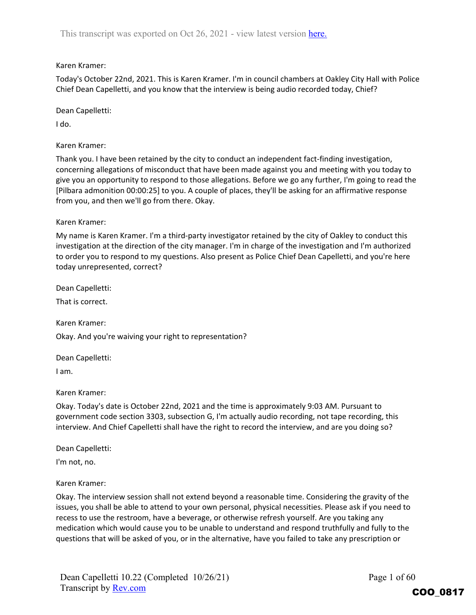## Karen Kramer:

Today's October 22nd, 2021. This is Karen Kramer. I'm in council chambers at Oakley City Hall with Police Chief Dean Capelletti, and you know that the interview is being audio recorded today, Chief?

Dean Capelletti:

I do.

Karen Kramer:

Thank you. I have been retained by the city to conduct an independent fact‐finding investigation, concerning allegations of misconduct that have been made against you and meeting with you today to give you an opportunity to respond to those allegations. Before we go any further, I'm going to read the [Pilbara admonition 00:00:25] to you. A couple of places, they'll be asking for an affirmative response from you, and then we'll go from there. Okay.

Karen Kramer:

My name is Karen Kramer. I'm a third‐party investigator retained by the city of Oakley to conduct this investigation at the direction of the city manager. I'm in charge of the investigation and I'm authorized to order you to respond to my questions. Also present as Police Chief Dean Capelletti, and you're here today unrepresented, correct?

Dean Capelletti:

That is correct.

Karen Kramer:

Okay. And you're waiving your right to representation?

Dean Capelletti:

I am.

Karen Kramer:

Okay. Today's date is October 22nd, 2021 and the time is approximately 9:03 AM. Pursuant to government code section 3303, subsection G, I'm actually audio recording, not tape recording, this interview. And Chief Capelletti shall have the right to record the interview, and are you doing so?

Dean Capelletti:

I'm not, no.

Karen Kramer:

Okay. The interview session shall not extend beyond a reasonable time. Considering the gravity of the issues, you shall be able to attend to your own personal, physical necessities. Please ask if you need to recess to use the restroom, have a beverage, or otherwise refresh yourself. Are you taking any medication which would cause you to be unable to understand and respond truthfully and fully to the questions that will be asked of you, or in the alternative, have you failed to take any prescription or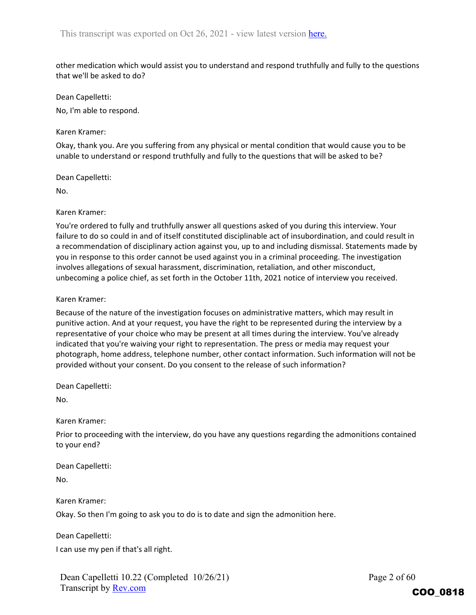other medication which would assist you to understand and respond truthfully and fully to the questions that we'll be asked to do?

Dean Capelletti:

No, I'm able to respond.

## Karen Kramer:

Okay, thank you. Are you suffering from any physical or mental condition that would cause you to be unable to understand or respond truthfully and fully to the questions that will be asked to be?

Dean Capelletti:

No.

Karen Kramer:

You're ordered to fully and truthfully answer all questions asked of you during this interview. Your failure to do so could in and of itself constituted disciplinable act of insubordination, and could result in a recommendation of disciplinary action against you, up to and including dismissal. Statements made by you in response to this order cannot be used against you in a criminal proceeding. The investigation involves allegations of sexual harassment, discrimination, retaliation, and other misconduct, unbecoming a police chief, as set forth in the October 11th, 2021 notice of interview you received.

Karen Kramer:

Because of the nature of the investigation focuses on administrative matters, which may result in punitive action. And at your request, you have the right to be represented during the interview by a representative of your choice who may be present at all times during the interview. You've already indicated that you're waiving your right to representation. The press or media may request your photograph, home address, telephone number, other contact information. Such information will not be provided without your consent. Do you consent to the release of such information?

Dean Capelletti:

No.

Karen Kramer:

Prior to proceeding with the interview, do you have any questions regarding the admonitions contained to your end?

Dean Capelletti: No.

Karen Kramer:

Okay. So then I'm going to ask you to do is to date and sign the admonition here.

Dean Capelletti: I can use my pen if that's all right.

Dean Capelletti 10.22 (Completed 10/26/21) Transcript by Rev.com

Page 2 of 60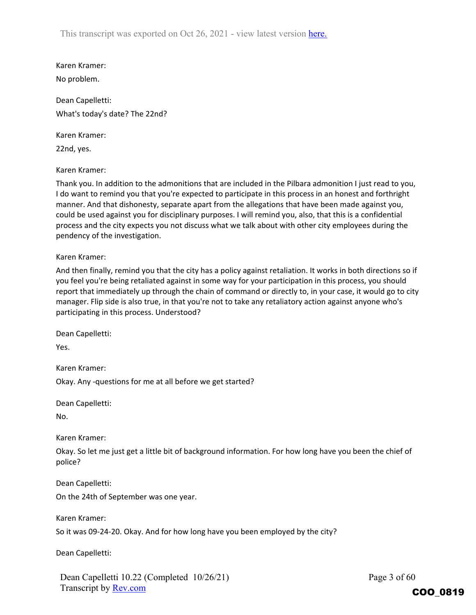Karen Kramer: No problem.

Dean Capelletti: What's today's date? The 22nd?

Karen Kramer:

22nd, yes.

Karen Kramer:

Thank you. In addition to the admonitions that are included in the Pilbara admonition I just read to you, I do want to remind you that you're expected to participate in this process in an honest and forthright manner. And that dishonesty, separate apart from the allegations that have been made against you, could be used against you for disciplinary purposes. I will remind you, also, that this is a confidential process and the city expects you not discuss what we talk about with other city employees during the pendency of the investigation.

Karen Kramer:

And then finally, remind you that the city has a policy against retaliation. It works in both directions so if you feel you're being retaliated against in some way for your participation in this process, you should report that immediately up through the chain of command or directly to, in your case, it would go to city manager. Flip side is also true, in that you're not to take any retaliatory action against anyone who's participating in this process. Understood?

Dean Capelletti:

Yes.

Karen Kramer:

Okay. Any ‐questions for me at all before we get started?

Dean Capelletti:

No.

Karen Kramer:

Okay. So let me just get a little bit of background information. For how long have you been the chief of police?

Dean Capelletti:

On the 24th of September was one year.

Karen Kramer:

So it was 09‐24‐20. Okay. And for how long have you been employed by the city?

Dean Capelletti:

Dean Capelletti 10.22 (Completed 10/26/21) Transcript by **Rev.com** 

Page 3 of 60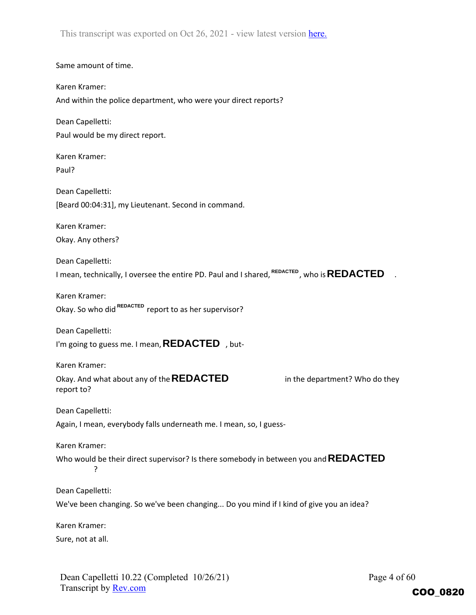Same amount of time. Karen Kramer: And within the police department, who were your direct reports? Dean Capelletti: Paul would be my direct report. Karen Kramer: Paul? Dean Capelletti: [Beard 00:04:31], my Lieutenant. Second in command. Karen Kramer: Okay. Any others? Dean Capelletti: I mean, technically, I oversee the entire PD. Paul and I shared, <sup>REDACTED</sup> , who is **REDACTED** . Karen Kramer: Okay. So who did <sup>REDACTED</sup> report to as her supervisor? Dean Capelletti: I'm going to guess me. I mean, **REDACTED**, but-Karen Kramer: Okay. And what about any of the **REDACTED** in the department? Who do they report to? Dean Capelletti: Again, I mean, everybody falls underneath me. I mean, so, I guess-Karen Kramer: Who would be their direct supervisor? Is there somebody in between you and **REDACTED**? Dean Capelletti: We've been changing. So we've been changing... Do you mind if I kind of give you an idea? Karen Kramer: Sure, not at all.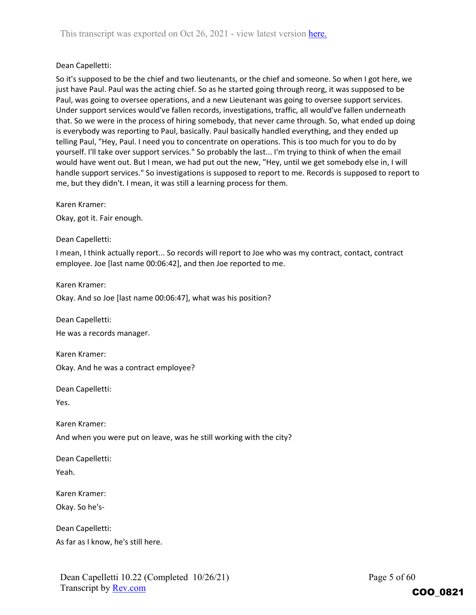#### Dean Capelletti:

So it's supposed to be the chief and two lieutenants, or the chief and someone. So when I got here, we just have Paul. Paul was the acting chief. So as he started going through reorg, it was supposed to be Paul, was going to oversee operations, and a new Lieutenant was going to oversee support services. Under support services would've fallen records, investigations, traffic, all would've fallen underneath that. So we were in the process of hiring somebody, that never came through. So, what ended up doing is everybody was reporting to Paul, basically. Paul basically handled everything, and they ended up telling Paul, "Hey, Paul. I need you to concentrate on operations. This is too much for you to do by yourself. I'll take over support services." So probably the last... I'm trying to think of when the email would have went out. But I mean, we had put out the new, "Hey, until we get somebody else in, I will handle support services." So investigations is supposed to report to me. Records is supposed to report to me, but they didn't. I mean, it was still a learning process for them.

Karen Kramer:

Okay, got it. Fair enough.

Dean Capelletti:

I mean, I think actually report... So records will report to Joe who was my contract, contact, contract employee. Joe [last name 00:06:42], and then Joe reported to me.

Karen Kramer:

Okay. And so Joe [last name 00:06:47], what was his position?

Dean Capelletti:

He was a records manager.

Karen Kramer: Okay. And he was a contract employee?

Dean Capelletti:

Yes.

Karen Kramer:

And when you were put on leave, was he still working with the city?

Dean Capelletti:

Yeah.

Karen Kramer:

Okay. So he's‐

Dean Capelletti:

As far as I know, he's still here.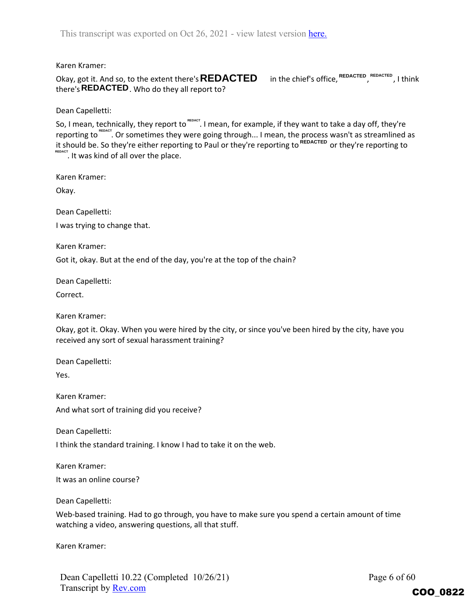Karen Kramer:

Okay, got it. And so, to the extent there's  $\sf{REDACTED}$  in the chief's office, <sup>REDACTED</sup> , <sup>REDACTED</sup> , I think there's **REDACTED** . Who do they all report to?

Dean Capelletti:

So, I mean, technically, they report to <sup>repact</sup>. I mean, for example, if they want to take a day off, they're reporting to REDACT. Or sometimes they were going through... I mean, the process wasn't as streamlined as it should be. So they're either reporting to Paul or they're reporting to <sup>REDACTED</sup> or they're reporting to REDACT. It was kind of all over the place.

Karen Kramer:

Okay.

Dean Capelletti:

I was trying to change that.

Karen Kramer:

Got it, okay. But at the end of the day, you're at the top of the chain?

Dean Capelletti:

Correct.

Karen Kramer:

Okay, got it. Okay. When you were hired by the city, or since you've been hired by the city, have you received any sort of sexual harassment training?

Dean Capelletti:

Yes.

Karen Kramer: And what sort of training did you receive?

Dean Capelletti:

I think the standard training. I know I had to take it on the web.

Karen Kramer: It was an online course?

Dean Capelletti:

Web-based training. Had to go through, you have to make sure you spend a certain amount of time watching a video, answering questions, all that stuff.

Karen Kramer:

Page 6 of 60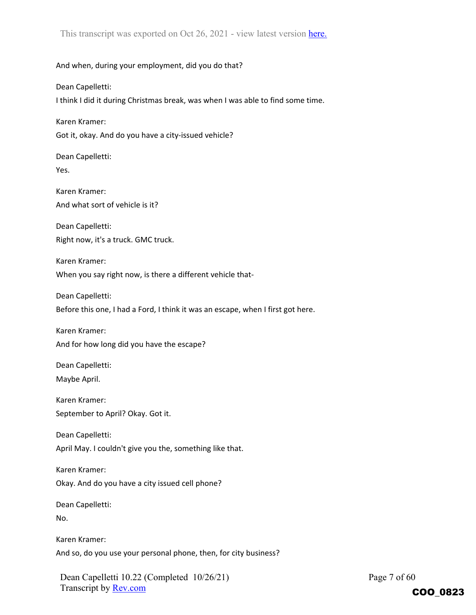And when, during your employment, did you do that?

Dean Capelletti:

I think I did it during Christmas break, was when I was able to find some time.

Karen Kramer:

Got it, okay. And do you have a city‐issued vehicle?

Dean Capelletti: Yes.

Karen Kramer: And what sort of vehicle is it?

Dean Capelletti: Right now, it's a truck. GMC truck.

Karen Kramer: When you say right now, is there a different vehicle that-

Dean Capelletti:

Before this one, I had a Ford, I think it was an escape, when I first got here.

Karen Kramer: And for how long did you have the escape?

Dean Capelletti: Maybe April.

Karen Kramer: September to April? Okay. Got it.

Dean Capelletti: April May. I couldn't give you the, something like that.

Karen Kramer: Okay. And do you have a city issued cell phone?

Dean Capelletti:

No.

Karen Kramer: And so, do you use your personal phone, then, for city business?

Dean Capelletti 10.22 (Completed 10/26/21) Transcript by Rev.com

Page 7 of 60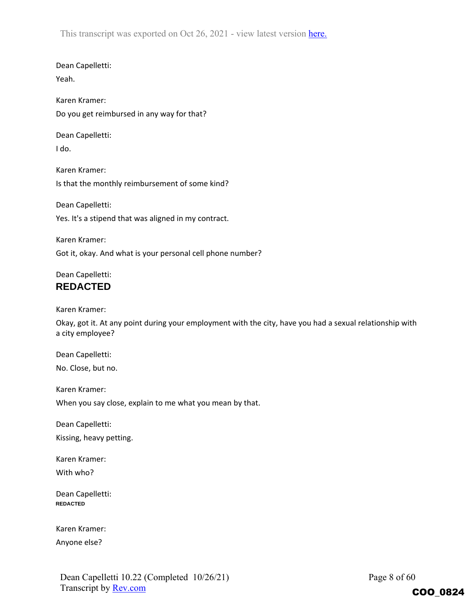Dean Capelletti:

Yeah.

Karen Kramer: Do you get reimbursed in any way for that?

Dean Capelletti:

I do.

Karen Kramer: Is that the monthly reimbursement of some kind?

Dean Capelletti: Yes. It's a stipend that was aligned in my contract.

Karen Kramer: Got it, okay. And what is your personal cell phone number?

## Dean Capelletti: **REDACTED**

Karen Kramer:

Okay, got it. At any point during your employment with the city, have you had a sexual relationship with a city employee?

Dean Capelletti: No. Close, but no.

Karen Kramer:

When you say close, explain to me what you mean by that.

Dean Capelletti:

Kissing, heavy petting.

Karen Kramer: With who?

Dean Capelletti: **REDACTED**

Karen Kramer:

Anyone else?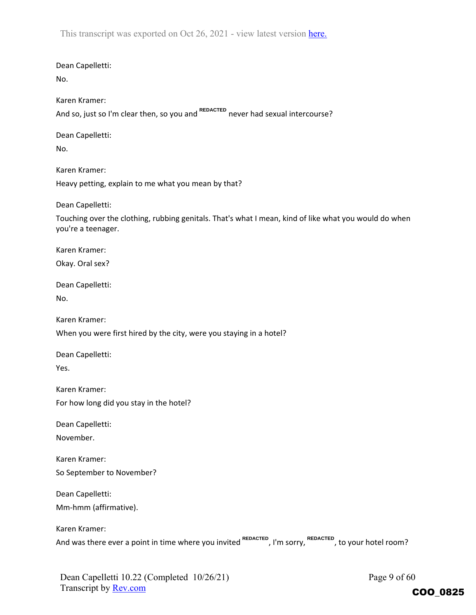Dean Capelletti: No. Karen Kramer: And so, just so I'm clear then, so you and <sup>REDACTED</sup> never had sexual intercourse? Dean Capelletti: No. Karen Kramer: Heavy petting, explain to me what you mean by that? Dean Capelletti: Touching over the clothing, rubbing genitals. That's what I mean, kind of like what you would do when you're a teenager. Karen Kramer: Okay. Oral sex? Dean Capelletti: No. Karen Kramer: When you were first hired by the city, were you staying in a hotel? Dean Capelletti: Yes. Karen Kramer: For how long did you stay in the hotel? Dean Capelletti: November. Karen Kramer: So September to November? Dean Capelletti: Mm‐hmm (affirmative). Karen Kramer: And was there ever a point in time where you invited <sup>REDACTED</sup>, I'm sorry, REDACTED, to your hotel room?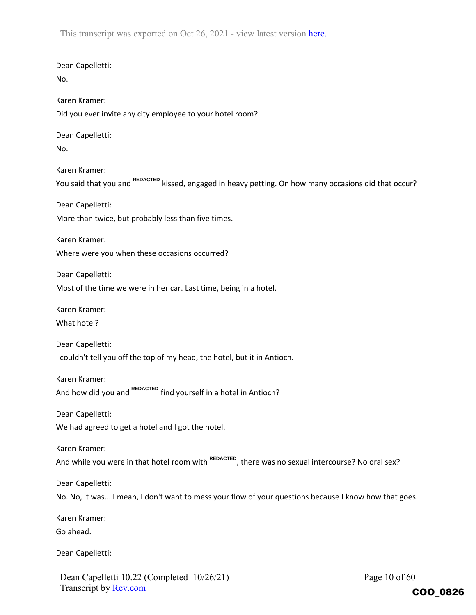Dean Capelletti: No. Karen Kramer: Did you ever invite any city employee to your hotel room? Dean Capelletti: No. Karen Kramer: You said that you and <sup>REDACTED</sup> kissed, engaged in heavy petting. On how many occasions did that occur? Dean Capelletti: More than twice, but probably less than five times. Karen Kramer: Where were you when these occasions occurred? Dean Capelletti: Most of the time we were in her car. Last time, being in a hotel. Karen Kramer: What hotel? Dean Capelletti: I couldn't tell you off the top of my head, the hotel, but it in Antioch. Karen Kramer: And how did you and <sup>REDACTED</sup> find yourself in a hotel in Antioch? Dean Capelletti: We had agreed to get a hotel and I got the hotel. Karen Kramer: And while you were in that hotel room with <sup>REDACTED</sup>, there was no sexual intercourse? No oral sex? Dean Capelletti: No. No, it was... I mean, I don't want to mess your flow of your questions because I know how that goes. Karen Kramer: Go ahead. Dean Capelletti:

Dean Capelletti 10.22 (Completed 10/26/21) Transcript by Rev.com

Page 10 of 60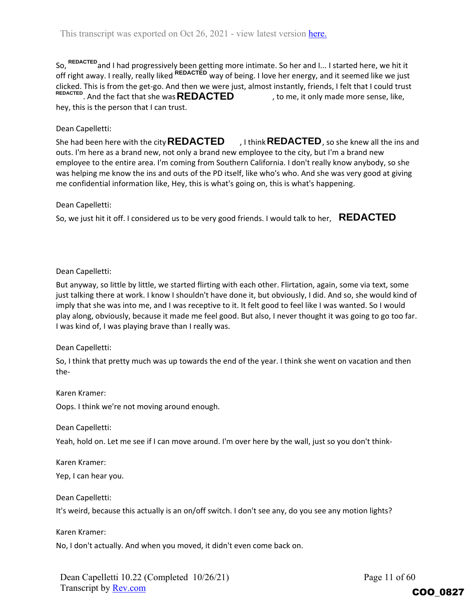So, <sup>REDACTED</sup> and I had progressively been getting more intimate. So her and I... I started here, we hit it off right away. I really, really liked <sup>REDACTED</sup> way of being. I love her energy, and it seemed like we just clicked. This is from the get‐go. And then we were just, almost instantly, friends, I felt that I could trust <sup>REDACTED</sup>. And the fact that she was **REDACTED** , to me, it only made more sense, like, hey, this is the person that I can trust.

## Dean Capelletti:

She had been here with the city **REDACTED**  $\qquad$  , I think **REDACTED** , so she knew all the ins and outs. I'm here as a brand new, not only a brand new employee to the city, but I'm a brand new employee to the entire area. I'm coming from Southern California. I don't really know anybody, so she was helping me know the ins and outs of the PD itself, like who's who. And she was very good at giving me confidential information like, Hey, this is what's going on, this is what's happening.

#### Dean Capelletti:

So, we just hit it off. I considered us to be very good friends. I would talk to her, **REDACTED**

#### Dean Capelletti:

But anyway, so little by little, we started flirting with each other. Flirtation, again, some via text, some just talking there at work. I know I shouldn't have done it, but obviously, I did. And so, she would kind of imply that she was into me, and I was receptive to it. It felt good to feel like I was wanted. So I would play along, obviously, because it made me feel good. But also, I never thought it was going to go too far. I was kind of, I was playing brave than I really was.

#### Dean Capelletti:

So, I think that pretty much was up towards the end of the year. I think she went on vacation and then the‐

#### Karen Kramer:

Oops. I think we're not moving around enough.

Dean Capelletti:

Yeah, hold on. Let me see if I can move around. I'm over here by the wall, just so you don't think‐

Karen Kramer: Yep, I can hear you.

Dean Capelletti:

It's weird, because this actually is an on/off switch. I don't see any, do you see any motion lights?

Karen Kramer:

No, I don't actually. And when you moved, it didn't even come back on.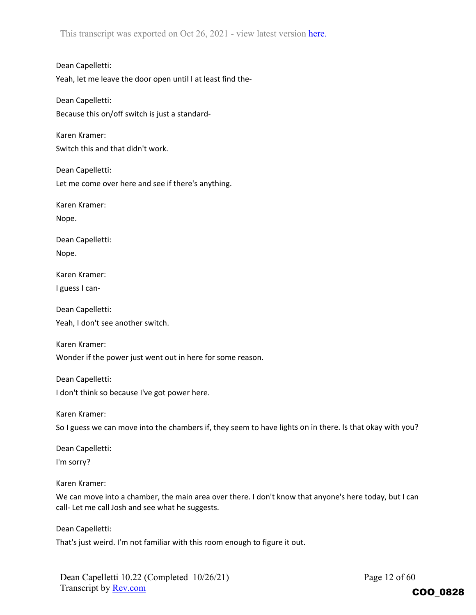Dean Capelletti: Yeah, let me leave the door open until I at least find the‐

Dean Capelletti: Because this on/off switch is just a standard‐

Karen Kramer: Switch this and that didn't work.

Dean Capelletti: Let me come over here and see if there's anything.

Karen Kramer:

Nope.

Dean Capelletti: Nope.

Karen Kramer:

I guess I can‐

Dean Capelletti: Yeah, I don't see another switch.

Karen Kramer:

Wonder if the power just went out in here for some reason.

Dean Capelletti:

I don't think so because I've got power here.

Karen Kramer:

So I guess we can move into the chambers if, they seem to have lights on in there. Is that okay with you?

Dean Capelletti:

I'm sorry?

Karen Kramer:

We can move into a chamber, the main area over there. I don't know that anyone's here today, but I can call- Let me call Josh and see what he suggests.

Dean Capelletti:

That's just weird. I'm not familiar with this room enough to figure it out.

Dean Capelletti 10.22 (Completed 10/26/21) Transcript by Rev.com

Page 12 of 60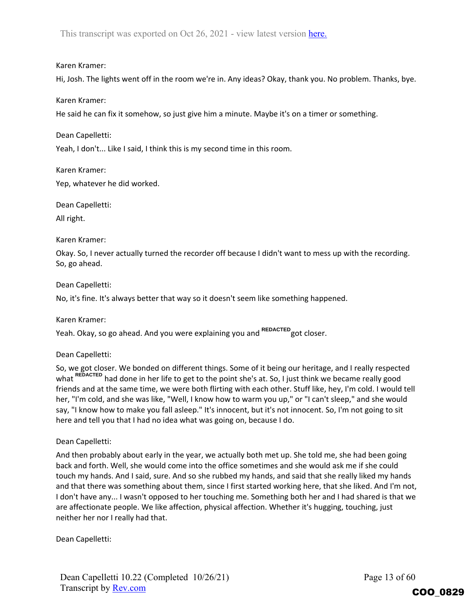#### Karen Kramer:

Hi, Josh. The lights went off in the room we're in. Any ideas? Okay, thank you. No problem. Thanks, bye.

#### Karen Kramer:

He said he can fix it somehow, so just give him a minute. Maybe it's on a timer or something.

Dean Capelletti:

Yeah, I don't... Like I said, I think this is my second time in this room.

Karen Kramer: Yep, whatever he did worked.

Dean Capelletti:

All right.

#### Karen Kramer:

Okay. So, I never actually turned the recorder off because I didn't want to mess up with the recording. So, go ahead.

#### Dean Capelletti:

No, it's fine. It's always better that way so it doesn't seem like something happened.

Karen Kramer:

Yeah. Okay, so go ahead. And you were explaining you and <sup>REDACTED</sup> got closer.

#### Dean Capelletti:

So, we got closer. We bonded on different things. Some of it being our heritage, and I really respected what <sup>REDACTED</sup> had done in her life to get to the point she's at. So, I just think we became really good friends and at the same time, we were both flirting with each other. Stuff like, hey, I'm cold. I would tell her, "I'm cold, and she was like, "Well, I know how to warm you up," or "I can't sleep," and she would say, "I know how to make you fall asleep." It's innocent, but it's not innocent. So, I'm not going to sit here and tell you that I had no idea what was going on, because I do.

## Dean Capelletti:

And then probably about early in the year, we actually both met up. She told me, she had been going back and forth. Well, she would come into the office sometimes and she would ask me if she could touch my hands. And I said, sure. And so she rubbed my hands, and said that she really liked my hands and that there was something about them, since I first started working here, that she liked. And I'm not, I don't have any... I wasn't opposed to her touching me. Something both her and I had shared is that we are affectionate people. We like affection, physical affection. Whether it's hugging, touching, just neither her nor I really had that.

Dean Capelletti: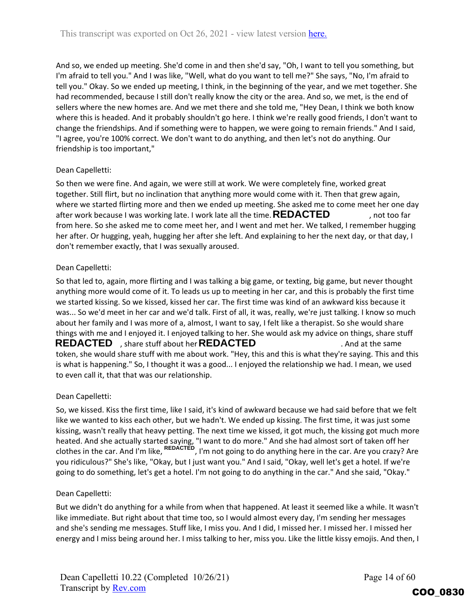And so, we ended up meeting. She'd come in and then she'd say, "Oh, I want to tell you something, but I'm afraid to tell you." And I was like, "Well, what do you want to tell me?" She says, "No, I'm afraid to tell you." Okay. So we ended up meeting, I think, in the beginning of the year, and we met together. She had recommended, because I still don't really know the city or the area. And so, we met, is the end of sellers where the new homes are. And we met there and she told me, "Hey Dean, I think we both know where this is headed. And it probably shouldn't go here. I think we're really good friends, I don't want to change the friendships. And if something were to happen, we were going to remain friends." And I said, "I agree, you're 100% correct. We don't want to do anything, and then let's not do anything. Our friendship is too important,"

## Dean Capelletti:

So then we were fine. And again, we were still at work. We were completely fine, worked great together. Still flirt, but no inclination that anything more would come with it. Then that grew again, where we started flirting more and then we ended up meeting. She asked me to come meet her one day after work because I was working late. I work late all the time.  $\sf{REDACTED}$ , not too far from here. So she asked me to come meet her, and I went and met her. We talked, I remember hugging her after. Or hugging, yeah, hugging her after she left. And explaining to her the next day, or that day, I don't remember exactly, that I was sexually aroused.

## Dean Capelletti:

So that led to, again, more flirting and I was talking a big game, or texting, big game, but never thought anything more would come of it. To leads us up to meeting in her car, and this is probably the first time we started kissing. So we kissed, kissed her car. The first time was kind of an awkward kiss because it was... So we'd meet in her car and we'd talk. First of all, it was, really, we're just talking. I know so much about her family and I was more of a, almost, I want to say, I felt like a therapist. So she would share things with me and I enjoyed it. I enjoyed talking to her. She would ask my advice on things, share stuff **REDACTED** , share stuff about her **REDACTED** . And at the same token, she would share stuff with me about work. "Hey, this and this is what they're saying. This and this is what is happening." So, I thought it was a good... I enjoyed the relationship we had. I mean, we used to even call it, that that was our relationship. after work because I was working late. I work late all the time. **REDACTED**<br>from here. So she asked me to come meet her, and I went and met her. We tall<br>her after. Or hugging, yeah, hugging her after she left. And explaini

#### Dean Capelletti:

So, we kissed. Kiss the first time, like I said, it's kind of awkward because we had said before that we felt like we wanted to kiss each other, but we hadn't. We ended up kissing. The first time, it was just some kissing, wasn't really that heavy petting. The next time we kissed, it got much, the kissing got much more heated. And she actually started saying, "I want to do more." And she had almost sort of taken off her clothes in the car. And I'm like, <sup>REDACTED</sup>, I'm not going to do anything here in the car. Are you crazy? Are you ridiculous?" She's like, "Okay, but I just want you." And I said, "Okay, well let's get a hotel. If we're going to do something, let's get a hotel. I'm not going to do anything in the car." And she said, "Okay."

## Dean Capelletti:

But we didn't do anything for a while from when that happened. At least it seemed like a while. It wasn't like immediate. But right about that time too, so I would almost every day, I'm sending her messages and she's sending me messages. Stuff like, I miss you. And I did, I missed her. I missed her. I missed her energy and I miss being around her. I miss talking to her, miss you. Like the little kissy emojis. And then, I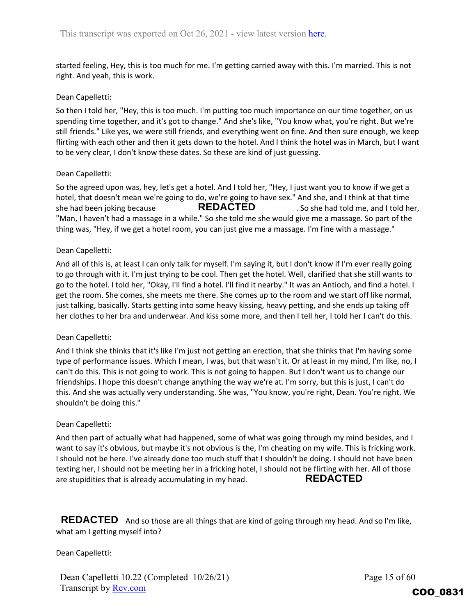started feeling, Hey, this is too much for me. I'm getting carried away with this. I'm married. This is not right. And yeah, this is work.

## Dean Capelletti:

So then I told her, "Hey, this is too much. I'm putting too much importance on our time together, on us spending time together, and it's got to change." And she's like, "You know what, you're right. But we're still friends." Like yes, we were still friends, and everything went on fine. And then sure enough, we keep flirting with each other and then it gets down to the hotel. And I think the hotel was in March, but I want to be very clear, I don't know these dates. So these are kind of just guessing.

## Dean Capelletti:

So the agreed upon was, hey, let's get a hotel. And I told her, "Hey, I just want you to know if we get a hotel, that doesn't mean we're going to do, we're going to have sex." And she, and I think at that time she had been joking because **REDACTED** So she had told me, and I told her, "Man, I haven't had a massage in a while." So she told me she would give me a massage. So part of the thing was, "Hey, if we get a hotel room, you can just give me a massage. I'm fine with a massage." **REDACTED**

## Dean Capelletti:

And all of this is, at least I can only talk for myself. I'm saying it, but I don't know if I'm ever really going to go through with it. I'm just trying to be cool. Then get the hotel. Well, clarified that she still wants to go to the hotel. I told her, "Okay, I'll find a hotel. I'll find it nearby." It was an Antioch, and find a hotel. I get the room. She comes, she meets me there. She comes up to the room and we start off like normal, just talking, basically. Starts getting into some heavy kissing, heavy petting, and she ends up taking off her clothes to her bra and underwear. And kiss some more, and then I tell her, I told her I can't do this.

#### Dean Capelletti:

And I think she thinks that it's like I'm just not getting an erection, that she thinks that I'm having some type of performance issues. Which I mean, I was, but that wasn't it. Or at least in my mind, I'm like, no, I can't do this. This is not going to work. This is not going to happen. But I don't want us to change our friendships. I hope this doesn't change anything the way we're at. I'm sorry, but this is just, I can't do this. And she was actually very understanding. She was, "You know, you're right, Dean. You're right. We shouldn't be doing this."

#### Dean Capelletti:

And then part of actually what had happened, some of what was going through my mind besides, and I want to say it's obvious, but maybe it's not obvious is the, I'm cheating on my wife. This is fricking work. I should not be here. I've already done too much stuff that I shouldn't be doing. I should not have been texting her, I should not be meeting her in a fricking hotel, I should not be flirting with her. All of those are stupidities that is already accumulating in my head. **REDACTED**

REDACTED And so those are all things that are kind of going through my head. And so I'm like, what am I getting myself into?

Dean Capelletti:

Dean Capelletti 10.22 (Completed 10/26/21) Transcript by Rev.com

Page 15 of 60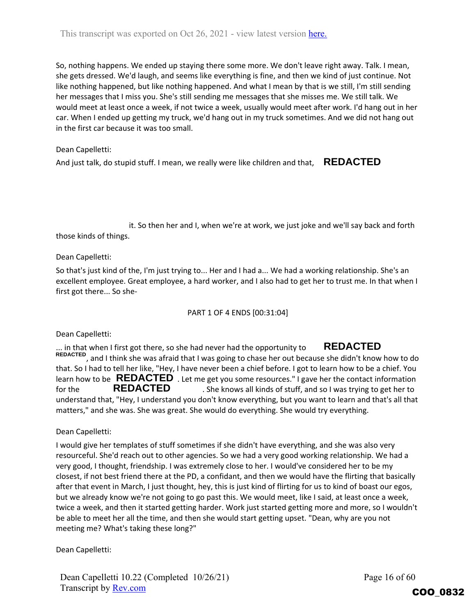So, nothing happens. We ended up staying there some more. We don't leave right away. Talk. I mean, she gets dressed. We'd laugh, and seems like everything is fine, and then we kind of just continue. Not like nothing happened, but like nothing happened. And what I mean by that is we still, I'm still sending her messages that I miss you. She's still sending me messages that she misses me. We still talk. We would meet at least once a week, if not twice a week, usually would meet after work. I'd hang out in her car. When I ended up getting my truck, we'd hang out in my truck sometimes. And we did not hang out in the first car because it was too small.

## Dean Capelletti:

And just talk, do stupid stuff. I mean, we really were like children and that,  $\mathsf{REDACIED}$ 

it. So then her and I, when we're at work, we just joke and we'll say back and forth those kinds of things.

Dean Capelletti:

So that's just kind of the, I'm just trying to... Her and I had a... We had a working relationship. She's an excellent employee. Great employee, a hard worker, and I also had to get her to trust me. In that when I first got there... So she‐

## PART 1 OF 4 ENDS [00:31:04]

Dean Capelletti:

. in that when I first got there, so she had never had the opportunity to , and I think she was afraid that I was going to chase her out because she didn't know how to do **REDACTED** that. So I had to tell her like, "Hey, I have never been a chief before. I got to learn how to be a chief. You learn how to be  $\overline{\text{REDACTED}}$  . Let me get you some resources." I gave her the contact information for the **REDACTED** She knows all kinds of stuff, and so I was trying to get her to understand that, "Hey, I understand you don't know everything, but you want to learn and that's all that matters," and she was. She was great. She would do everything. She would try everything. **REDACTED REDACTED**

Dean Capelletti:

I would give her templates of stuff sometimes if she didn't have everything, and she was also very resourceful. She'd reach out to other agencies. So we had a very good working relationship. We had a very good, I thought, friendship. I was extremely close to her. I would've considered her to be my closest, if not best friend there at the PD, a confidant, and then we would have the flirting that basically after that event in March, I just thought, hey, this is just kind of flirting for us to kind of boast our egos, but we already know we're not going to go past this. We would meet, like I said, at least once a week, twice a week, and then it started getting harder. Work just started getting more and more, so I wouldn't be able to meet her all the time, and then she would start getting upset. "Dean, why are you not meeting me? What's taking these long?" And just talk, do stupid stuff. I mean, we really were like children and that, **REDACTED**<br>
it. So then her and I, when we're at work, we just joke and we'll say back<br>
those kinds of things.<br>
Dean Capelletti:<br>
Dean Capellet

Dean Capelletti 10.22 (Completed 10/26/21) Transcript by Rev.com

Page 16 of 60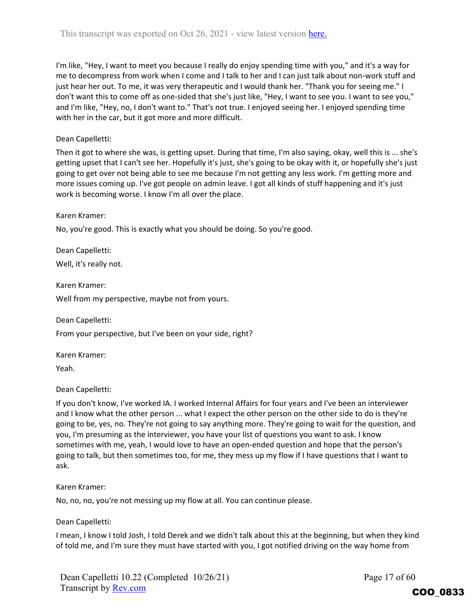I'm like, "Hey, I want to meet you because I really do enjoy spending time with you," and it's a way for me to decompress from work when I come and I talk to her and I can just talk about non-work stuff and just hear her out. To me, it was very therapeutic and I would thank her. "Thank you for seeing me." I don't want this to come off as one-sided that she's just like, "Hey, I want to see you. I want to see you," and I'm like, "Hey, no, I don't want to." That's not true. I enjoyed seeing her. I enjoyed spending time with her in the car, but it got more and more difficult.

## Dean Capelletti:

Then it got to where she was, is getting upset. During that time, I'm also saying, okay, well this is ... she's getting upset that I can't see her. Hopefully it's just, she's going to be okay with it, or hopefully she's just going to get over not being able to see me because I'm not getting any less work. I'm getting more and more issues coming up. I've got people on admin leave. I got all kinds of stuff happening and it's just work is becoming worse. I know I'm all over the place.

#### Karen Kramer:

No, you're good. This is exactly what you should be doing. So you're good.

Dean Capelletti:

Well, it's really not.

Karen Kramer:

Well from my perspective, maybe not from yours.

Dean Capelletti:

From your perspective, but I've been on your side, right?

Karen Kramer:

Yeah.

Dean Capelletti:

If you don't know, I've worked IA. I worked Internal Affairs for four years and I've been an interviewer and I know what the other person ... what I expect the other person on the other side to do is they're going to be, yes, no. They're not going to say anything more. They're going to wait for the question, and you, I'm presuming as the interviewer, you have your list of questions you want to ask. I know sometimes with me, yeah, I would love to have an open-ended question and hope that the person's going to talk, but then sometimes too, for me, they mess up my flow if I have questions that I want to ask.

#### Karen Kramer:

No, no, no, you're not messing up my flow at all. You can continue please.

Dean Capelletti:

I mean, I know I told Josh, I told Derek and we didn't talk about this at the beginning, but when they kind of told me, and I'm sure they must have started with you, I got notified driving on the way home from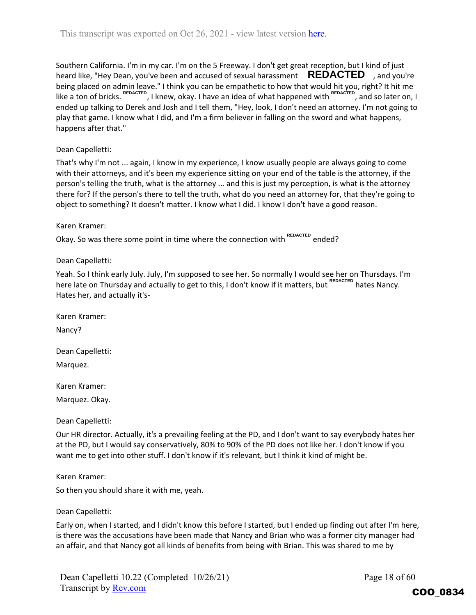Southern California. I'm in my car. I'm on the 5 Freeway. I don't get great reception, but I kind of just heard like, "Hey Dean, you've been and accused of sexual harassment **REDACTED**, and you're being placed on admin leave." I think you can be empathetic to how that would hit you, right? It hit me like a ton of bricks. <sup>REDACTED</sup>, I knew, okay. I have an idea of what happened with <sup>REDACTED</sup>, and so later on, I ended up talking to Derek and Josh and I tell them, "Hey, look, I don't need an attorney. I'm not going to play that game. I know what I did, and I'm a firm believer in falling on the sword and what happens, happens after that."

## Dean Capelletti:

That's why I'm not ... again, I know in my experience, I know usually people are always going to come with their attorneys, and it's been my experience sitting on your end of the table is the attorney, if the person's telling the truth, what is the attorney ... and this is just my perception, is what is the attorney there for? If the person's there to tell the truth, what do you need an attorney for, that they're going to object to something? It doesn't matter. I know what I did. I know I don't have a good reason.

## Karen Kramer:

Okay. So was there some point in time where the connection with <sup>REDACTED</sup> ended?

## Dean Capelletti:

Yeah. So I think early July. July, I'm supposed to see her. So normally I would see her on Thursdays. I'm here late on Thursday and actually to get to this, I don't know if it matters, but <sup>REDACTED</sup> hates Nancy. Hates her, and actually it's‐

Karen Kramer: Nancy?

Dean Capelletti:

Marquez.

Karen Kramer:

Marquez. Okay.

Dean Capelletti:

Our HR director. Actually, it's a prevailing feeling at the PD, and I don't want to say everybody hates her at the PD, but I would say conservatively, 80% to 90% of the PD does not like her. I don't know if you want me to get into other stuff. I don't know if it's relevant, but I think it kind of might be.

Karen Kramer:

So then you should share it with me, yeah.

#### Dean Capelletti:

Early on, when I started, and I didn't know this before I started, but I ended up finding out after I'm here, is there was the accusations have been made that Nancy and Brian who was a former city manager had an affair, and that Nancy got all kinds of benefits from being with Brian. This was shared to me by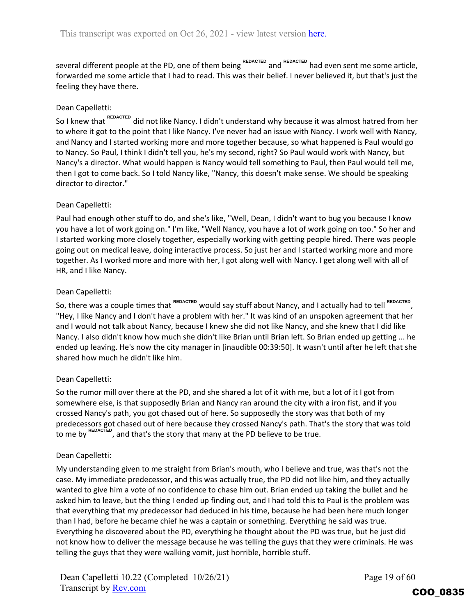several different people at the PD, one of them being <sup>REDACTED</sup> and <sup>REDACTED</sup> had even sent me some article, forwarded me some article that I had to read. This was their belief. I never believed it, but that's just the feeling they have there.

## Dean Capelletti:

So I knew that <sup>REDACTED</sup> did not like Nancy. I didn't understand why because it was almost hatred from her to where it got to the point that I like Nancy. I've never had an issue with Nancy. I work well with Nancy, and Nancy and I started working more and more together because, so what happened is Paul would go to Nancy. So Paul, I think I didn't tell you, he's my second, right? So Paul would work with Nancy, but Nancy's a director. What would happen is Nancy would tell something to Paul, then Paul would tell me, then I got to come back. So I told Nancy like, "Nancy, this doesn't make sense. We should be speaking director to director."

## Dean Capelletti:

Paul had enough other stuff to do, and she's like, "Well, Dean, I didn't want to bug you because I know you have a lot of work going on." I'm like, "Well Nancy, you have a lot of work going on too." So her and I started working more closely together, especially working with getting people hired. There was people going out on medical leave, doing interactive process. So just her and I started working more and more together. As I worked more and more with her, I got along well with Nancy. I get along well with all of HR, and I like Nancy.

## Dean Capelletti:

So, there was a couple times that <sup>REDACTED</sup> would say stuff about Nancy, and I actually had to tell <sup>REDACTED</sup>, "Hey, I like Nancy and I don't have a problem with her." It was kind of an unspoken agreement that her and I would not talk about Nancy, because I knew she did not like Nancy, and she knew that I did like Nancy. I also didn't know how much she didn't like Brian until Brian left. So Brian ended up getting ... he ended up leaving. He's now the city manager in [inaudible 00:39:50]. It wasn't until after he left that she shared how much he didn't like him.

## Dean Capelletti:

So the rumor mill over there at the PD, and she shared a lot of it with me, but a lot of it I got from somewhere else, is that supposedly Brian and Nancy ran around the city with a iron fist, and if you crossed Nancy's path, you got chased out of here. So supposedly the story was that both of my predecessors got chased out of here because they crossed Nancy's path. That's the story that was told ", and that's the story that many at the PD believe to be true. to me by REDACT

## Dean Capelletti:

My understanding given to me straight from Brian's mouth, who I believe and true, was that's not the case. My immediate predecessor, and this was actually true, the PD did not like him, and they actually wanted to give him a vote of no confidence to chase him out. Brian ended up taking the bullet and he asked him to leave, but the thing I ended up finding out, and I had told this to Paul is the problem was that everything that my predecessor had deduced in his time, because he had been here much longer than I had, before he became chief he was a captain or something. Everything he said was true. Everything he discovered about the PD, everything he thought about the PD was true, but he just did not know how to deliver the message because he was telling the guys that they were criminals. He was telling the guys that they were walking vomit, just horrible, horrible stuff.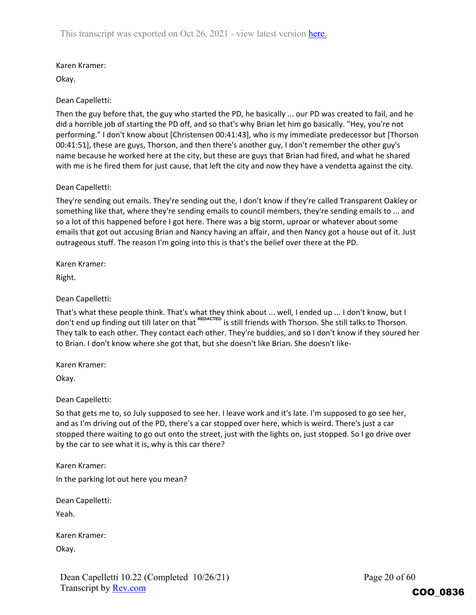## Karen Kramer:

Okay.

## Dean Capelletti:

Then the guy before that, the guy who started the PD, he basically ... our PD was created to fail, and he did a horrible job of starting the PD off, and so that's why Brian let him go basically. "Hey, you're not performing." I don't know about [Christensen 00:41:43], who is my immediate predecessor but [Thorson 00:41:51], these are guys, Thorson, and then there's another guy, I don't remember the other guy's name because he worked here at the city, but these are guys that Brian had fired, and what he shared with me is he fired them for just cause, that left the city and now they have a vendetta against the city.

## Dean Capelletti:

They're sending out emails. They're sending out the, I don't know if they're called Transparent Oakley or something like that, where they're sending emails to council members, they're sending emails to ... and so a lot of this happened before I got here. There was a big storm, uproar or whatever about some emails that got out accusing Brian and Nancy having an affair, and then Nancy got a house out of it. Just outrageous stuff. The reason I'm going into this is that's the belief over there at the PD.

Karen Kramer:

Right.

## Dean Capelletti:

That's what these people think. That's what they think about ... well, I ended up ... I don't know, but I don't end up finding out till later on that <sup>REDACTED</sup> is still friends with Thorson. She still talks to Thorson. They talk to each other. They contact each other. They're buddies, and so I don't know if they soured her to Brian. I don't know where she got that, but she doesn't like Brian. She doesn't like-

Karen Kramer:

Okay.

Dean Capelletti:

So that gets me to, so July supposed to see her. I leave work and it's late. I'm supposed to go see her, and as I'm driving out of the PD, there's a car stopped over here, which is weird. There's just a car stopped there waiting to go out onto the street, just with the lights on, just stopped. So I go drive over by the car to see what it is, why is this car there?

Karen Kramer:

In the parking lot out here you mean?

Dean Capelletti:

Yeah.

Karen Kramer: Okay.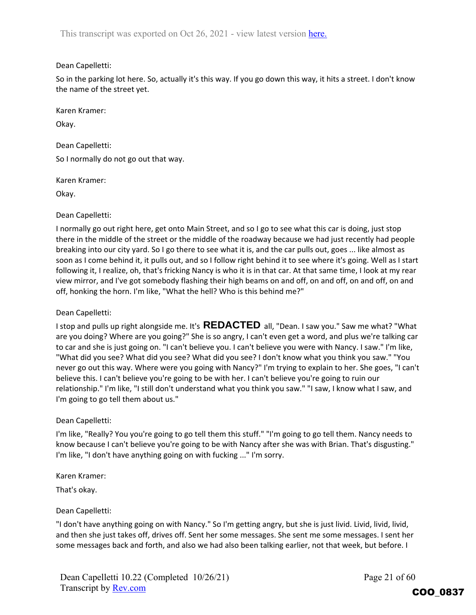## Dean Capelletti:

So in the parking lot here. So, actually it's this way. If you go down this way, it hits a street. I don't know the name of the street yet.

Karen Kramer:

Okay.

Dean Capelletti: So I normally do not go out that way.

Karen Kramer:

Okay.

## Dean Capelletti:

I normally go out right here, get onto Main Street, and so I go to see what this car is doing, just stop there in the middle of the street or the middle of the roadway because we had just recently had people breaking into our city yard. So I go there to see what it is, and the car pulls out, goes ... like almost as soon as I come behind it, it pulls out, and so I follow right behind it to see where it's going. Well as I start following it, I realize, oh, that's fricking Nancy is who it is in that car. At that same time, I look at my rear view mirror, and I've got somebody flashing their high beams on and off, on and off, on and off, on and off, honking the horn. I'm like, "What the hell? Who is this behind me?"

## Dean Capelletti:

I stop and pulls up right alongside me. It's **REDACTED** all, "Dean. I saw you." Saw me what? "What are you doing? Where are you going?" She is so angry, I can't even get a word, and plus we're talking car to car and she is just going on. "I can't believe you. I can't believe you were with Nancy. I saw." I'm like, "What did you see? What did you see? What did you see? I don't know what you think you saw." "You never go out this way. Where were you going with Nancy?" I'm trying to explain to her. She goes, "I can't believe this. I can't believe you're going to be with her. I can't believe you're going to ruin our relationship." I'm like, "I still don't understand what you think you saw." "I saw, I know what I saw, and I'm going to go tell them about us."

## Dean Capelletti:

I'm like, "Really? You you're going to go tell them this stuff." "I'm going to go tell them. Nancy needs to know because I can't believe you're going to be with Nancy after she was with Brian. That's disgusting." I'm like, "I don't have anything going on with fucking ..." I'm sorry.

Karen Kramer:

That's okay.

## Dean Capelletti:

"I don't have anything going on with Nancy." So I'm getting angry, but she is just livid. Livid, livid, livid, and then she just takes off, drives off. Sent her some messages. She sent me some messages. I sent her some messages back and forth, and also we had also been talking earlier, not that week, but before. I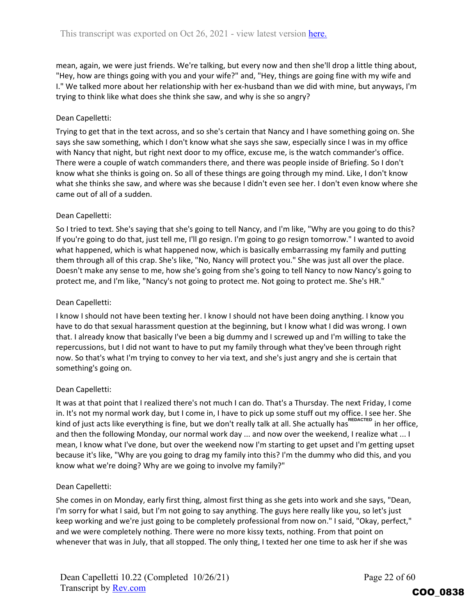mean, again, we were just friends. We're talking, but every now and then she'll drop a little thing about, "Hey, how are things going with you and your wife?" and, "Hey, things are going fine with my wife and I." We talked more about her relationship with her ex‐husband than we did with mine, but anyways, I'm trying to think like what does she think she saw, and why is she so angry?

## Dean Capelletti:

Trying to get that in the text across, and so she's certain that Nancy and I have something going on. She says she saw something, which I don't know what she says she saw, especially since I was in my office with Nancy that night, but right next door to my office, excuse me, is the watch commander's office. There were a couple of watch commanders there, and there was people inside of Briefing. So I don't know what she thinks is going on. So all of these things are going through my mind. Like, I don't know what she thinks she saw, and where was she because I didn't even see her. I don't even know where she came out of all of a sudden.

## Dean Capelletti:

So I tried to text. She's saying that she's going to tell Nancy, and I'm like, "Why are you going to do this? If you're going to do that, just tell me, I'll go resign. I'm going to go resign tomorrow." I wanted to avoid what happened, which is what happened now, which is basically embarrassing my family and putting them through all of this crap. She's like, "No, Nancy will protect you." She was just all over the place. Doesn't make any sense to me, how she's going from she's going to tell Nancy to now Nancy's going to protect me, and I'm like, "Nancy's not going to protect me. Not going to protect me. She's HR."

#### Dean Capelletti:

I know I should not have been texting her. I know I should not have been doing anything. I know you have to do that sexual harassment question at the beginning, but I know what I did was wrong. I own that. I already know that basically I've been a big dummy and I screwed up and I'm willing to take the repercussions, but I did not want to have to put my family through what they've been through right now. So that's what I'm trying to convey to her via text, and she's just angry and she is certain that something's going on.

#### Dean Capelletti:

It was at that point that I realized there's not much I can do. That's a Thursday. The next Friday, I come in. It's not my normal work day, but I come in, I have to pick up some stuff out my office. I see her. She kind of just acts like everything is fine, but we don't really talk at all. She actually has <sup>REDACTED</sup> in her office, and then the following Monday, our normal work day ... and now over the weekend, I realize what ... I mean, I know what I've done, but over the weekend now I'm starting to get upset and I'm getting upset because it's like, "Why are you going to drag my family into this? I'm the dummy who did this, and you know what we're doing? Why are we going to involve my family?"

#### Dean Capelletti:

She comes in on Monday, early first thing, almost first thing as she gets into work and she says, "Dean, I'm sorry for what I said, but I'm not going to say anything. The guys here really like you, so let's just keep working and we're just going to be completely professional from now on." I said, "Okay, perfect," and we were completely nothing. There were no more kissy texts, nothing. From that point on whenever that was in July, that all stopped. The only thing, I texted her one time to ask her if she was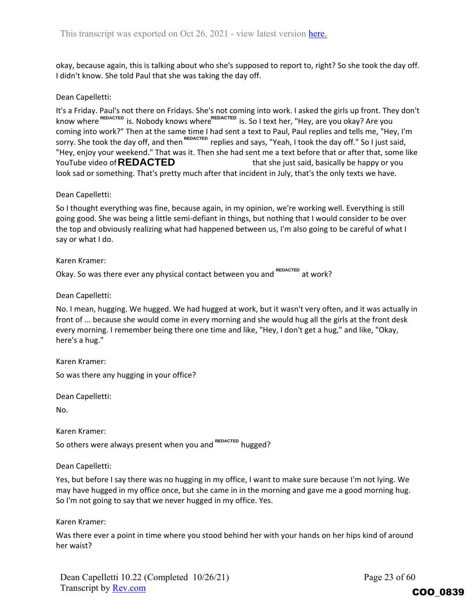okay, because again, this is talking about who she's supposed to report to, right? So she took the day off. I didn't know. She told Paul that she was taking the day off.

## Dean Capelletti:

It's a Friday. Paul's not there on Fridays. She's not coming into work. I asked the girls up front. They don't know where <sup>REDACTED</sup> is. Nobody knows where<sup>REDACTED</sup> is. So I text her, "Hey, are you okay? Are you coming into work?" Then at the same time I had sent a text to Paul, Paul replies and tells me, "Hey, I'm sorry. She took the day off, and then <sup>REDACTED</sup> replies and says, "Yeah, I took the day off." So I just said, "Hey, enjoy your weekend." That was it. Then she had sent me a text before that or after that, some like that she just said, basically be happy or you look sad or something. That's pretty much after that incident in July, that's the only texts we have. YouTube video of **REDACTED** 

Dean Capelletti:

So I thought everything was fine, because again, in my opinion, we're working well. Everything is still going good. She was being a little semi-defiant in things, but nothing that I would consider to be over the top and obviously realizing what had happened between us, I'm also going to be careful of what I say or what I do.

Karen Kramer:

Okay. So was there ever any physical contact between you and <sup>REDACTED</sup> at work?

Dean Capelletti:

No. I mean, hugging. We hugged. We had hugged at work, but it wasn't very often, and it was actually in front of ... because she would come in every morning and she would hug all the girls at the front desk every morning. I remember being there one time and like, "Hey, I don't get a hug," and like, "Okay, here's a hug."

Karen Kramer:

So was there any hugging in your office?

Dean Capelletti:

No.

Karen Kramer:

So others were always present when you and <sup>REDACTED</sup> hugged?

Dean Capelletti:

Yes, but before I say there was no hugging in my office, I want to make sure because I'm not lying. We may have hugged in my office once, but she came in in the morning and gave me a good morning hug. So I'm not going to say that we never hugged in my office. Yes.

Karen Kramer:

Was there ever a point in time where you stood behind her with your hands on her hips kind of around her waist?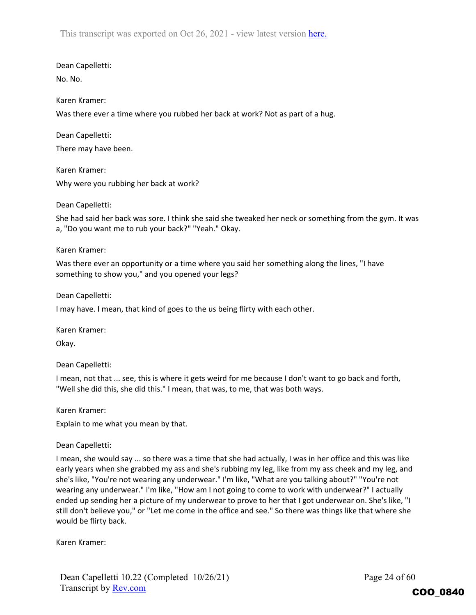Dean Capelletti:

No. No.

### Karen Kramer:

Was there ever a time where you rubbed her back at work? Not as part of a hug.

Dean Capelletti: There may have been.

Karen Kramer: Why were you rubbing her back at work?

## Dean Capelletti:

She had said her back was sore. I think she said she tweaked her neck or something from the gym. It was a, "Do you want me to rub your back?" "Yeah." Okay.

#### Karen Kramer:

Was there ever an opportunity or a time where you said her something along the lines, "I have something to show you," and you opened your legs?

Dean Capelletti:

I may have. I mean, that kind of goes to the us being flirty with each other.

Karen Kramer:

Okay.

Dean Capelletti:

I mean, not that ... see, this is where it gets weird for me because I don't want to go back and forth, "Well she did this, she did this." I mean, that was, to me, that was both ways.

Karen Kramer:

Explain to me what you mean by that.

#### Dean Capelletti:

I mean, she would say ... so there was a time that she had actually, I was in her office and this was like early years when she grabbed my ass and she's rubbing my leg, like from my ass cheek and my leg, and she's like, "You're not wearing any underwear." I'm like, "What are you talking about?" "You're not wearing any underwear." I'm like, "How am I not going to come to work with underwear?" I actually ended up sending her a picture of my underwear to prove to her that I got underwear on. She's like, "I still don't believe you," or "Let me come in the office and see." So there was things like that where she would be flirty back.

Karen Kramer: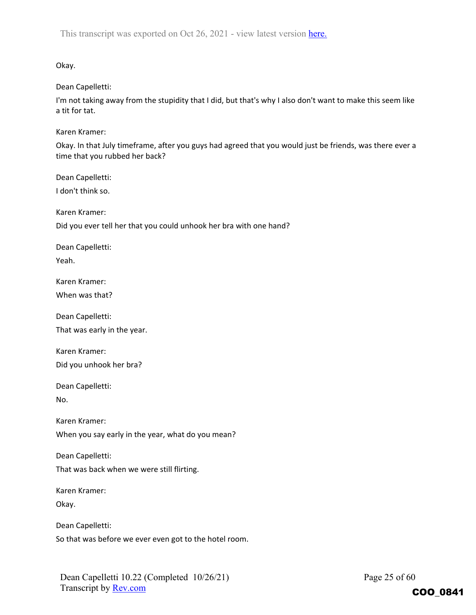Okay.

Dean Capelletti:

I'm not taking away from the stupidity that I did, but that's why I also don't want to make this seem like a tit for tat.

Karen Kramer:

Okay. In that July timeframe, after you guys had agreed that you would just be friends, was there ever a time that you rubbed her back?

Dean Capelletti:

I don't think so.

Karen Kramer:

Did you ever tell her that you could unhook her bra with one hand?

Dean Capelletti:

Yeah.

Karen Kramer:

When was that?

Dean Capelletti:

That was early in the year.

Karen Kramer: Did you unhook her bra?

Dean Capelletti:

No.

Karen Kramer:

When you say early in the year, what do you mean?

Dean Capelletti:

That was back when we were still flirting.

Karen Kramer:

Okay.

Dean Capelletti:

So that was before we ever even got to the hotel room.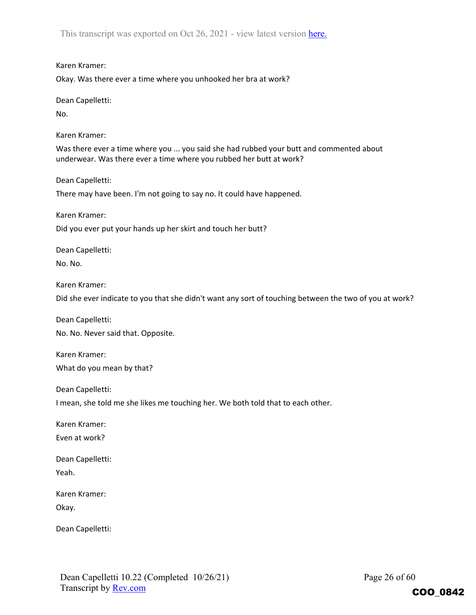Karen Kramer:

Okay. Was there ever a time where you unhooked her bra at work?

Dean Capelletti:

No.

Karen Kramer:

Was there ever a time where you ... you said she had rubbed your butt and commented about underwear. Was there ever a time where you rubbed her butt at work?

Dean Capelletti:

There may have been. I'm not going to say no. It could have happened.

Karen Kramer:

Did you ever put your hands up her skirt and touch her butt?

Dean Capelletti:

No. No.

Karen Kramer:

Did she ever indicate to you that she didn't want any sort of touching between the two of you at work?

Dean Capelletti:

No. No. Never said that. Opposite.

Karen Kramer: What do you mean by that?

Dean Capelletti:

I mean, she told me she likes me touching her. We both told that to each other.

Karen Kramer:

Even at work?

Dean Capelletti: Yeah.

Karen Kramer:

Okay.

Dean Capelletti: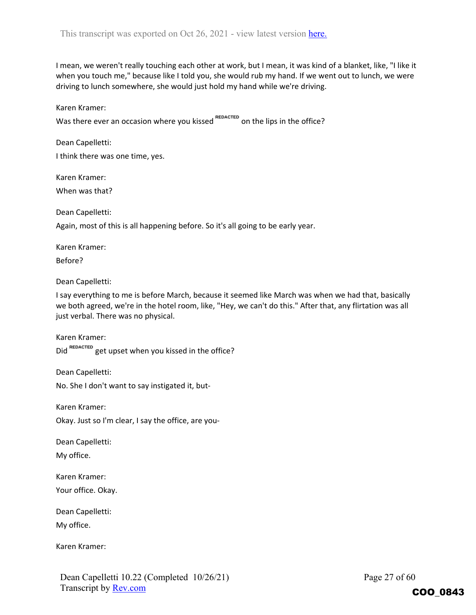I mean, we weren't really touching each other at work, but I mean, it was kind of a blanket, like, "I like it when you touch me," because like I told you, she would rub my hand. If we went out to lunch, we were driving to lunch somewhere, she would just hold my hand while we're driving.

Karen Kramer:

Was there ever an occasion where you kissed <sup>REDACTED</sup> on the lips in the office?

Dean Capelletti:

I think there was one time, yes.

Karen Kramer: When was that?

Dean Capelletti:

Again, most of this is all happening before. So it's all going to be early year.

Karen Kramer:

Before?

Dean Capelletti:

I say everything to me is before March, because it seemed like March was when we had that, basically we both agreed, we're in the hotel room, like, "Hey, we can't do this." After that, any flirtation was all just verbal. There was no physical.

Karen Kramer: Did <sup>REDACTED</sup> get upset when you kissed in the office?

Dean Capelletti:

No. She I don't want to say instigated it, but‐

Karen Kramer:

Okay. Just so I'm clear, I say the office, are you‐

Dean Capelletti:

My office.

Karen Kramer:

Your office. Okay.

Dean Capelletti:

My office.

Karen Kramer: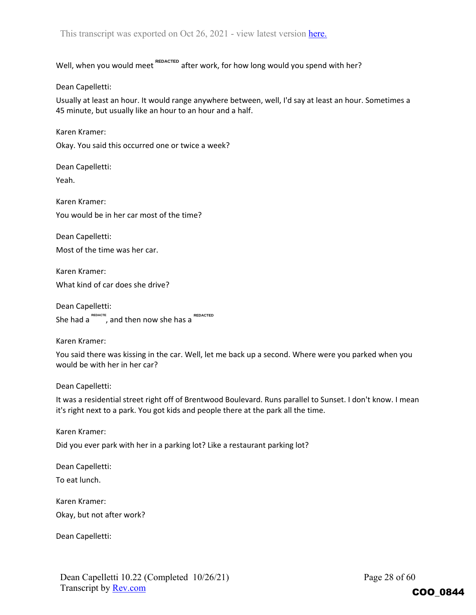Well, when you would meet <sup>REDACTED</sup> after work, for how long would you spend with her?

Dean Capelletti:

Usually at least an hour. It would range anywhere between, well, I'd say at least an hour. Sometimes a 45 minute, but usually like an hour to an hour and a half.

Karen Kramer:

Okay. You said this occurred one or twice a week?

Dean Capelletti:

Yeah.

Karen Kramer: You would be in her car most of the time?

Dean Capelletti: Most of the time was her car.

Karen Kramer: What kind of car does she drive?

Dean Capelletti: She had a <sup>REDACTE</sup>, and then now she has a REDACTED

Karen Kramer:

You said there was kissing in the car. Well, let me back up a second. Where were you parked when you would be with her in her car?

Dean Capelletti:

It was a residential street right off of Brentwood Boulevard. Runs parallel to Sunset. I don't know. I mean it's right next to a park. You got kids and people there at the park all the time.

Karen Kramer:

Did you ever park with her in a parking lot? Like a restaurant parking lot?

Dean Capelletti:

To eat lunch.

Karen Kramer:

Okay, but not after work?

Dean Capelletti:

Page 28 of 60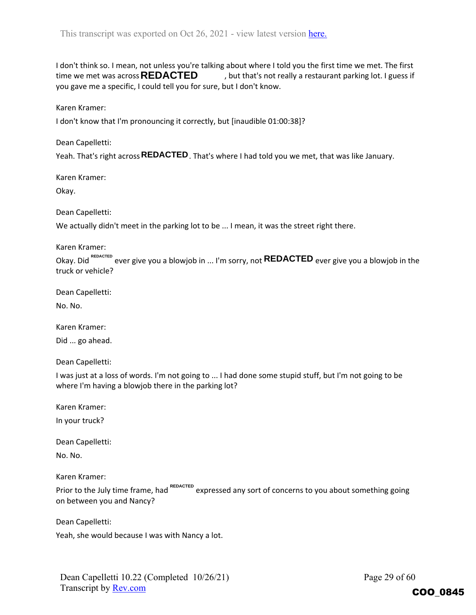I don't think so. I mean, not unless you're talking about where I told you the first time we met. The first , but that's not really a restaurant parking lot. I guess if you gave me a specific, I could tell you for sure, but I don't know. time we met was across **REDACTED** 

Karen Kramer:

I don't know that I'm pronouncing it correctly, but [inaudible 01:00:38]?

Dean Capelletti:

Yeah. That's right across **REDACTED** . That's where I had told you we met, that was like January.

Karen Kramer:

Okay.

Dean Capelletti:

We actually didn't meet in the parking lot to be ... I mean, it was the street right there.

Karen Kramer:

Okay. Did <sup>керастер</sup> ever give you a blowjob in ... I'm sorry, not **REDACTED** ever give you a blowjob in the truck or vehicle?

Dean Capelletti:

No. No.

Karen Kramer:

Did ... go ahead.

Dean Capelletti:

I was just at a loss of words. I'm not going to ... I had done some stupid stuff, but I'm not going to be where I'm having a blowjob there in the parking lot?

Karen Kramer:

In your truck?

Dean Capelletti:

No. No.

Karen Kramer:

Prior to the July time frame, had <sup>REDACTED</sup> expressed any sort of concerns to you about something going on between you and Nancy?

Dean Capelletti:

Yeah, she would because I was with Nancy a lot.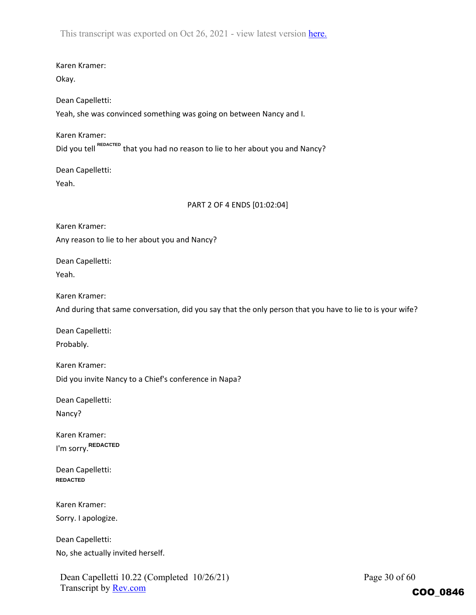Karen Kramer:

Okay.

Dean Capelletti:

Yeah, she was convinced something was going on between Nancy and I.

Karen Kramer: Did you tell <sup>REDACTED</sup> that you had no reason to lie to her about you and Nancy?

Dean Capelletti:

Yeah.

## PART 2 OF 4 ENDS [01:02:04]

Karen Kramer: Any reason to lie to her about you and Nancy?

Dean Capelletti: Yeah.

Karen Kramer:

And during that same conversation, did you say that the only person that you have to lie to is your wife?

Dean Capelletti:

Probably.

Karen Kramer: Did you invite Nancy to a Chief's conference in Napa?

Dean Capelletti:

Nancy?

Karen Kramer: I'm sorry. **REDACTED**

Dean Capelletti: **REDACTED**

Karen Kramer:

Sorry. I apologize.

Dean Capelletti:

No, she actually invited herself.

Dean Capelletti 10.22 (Completed 10/26/21) Transcript by Rev.com

Page 30 of 60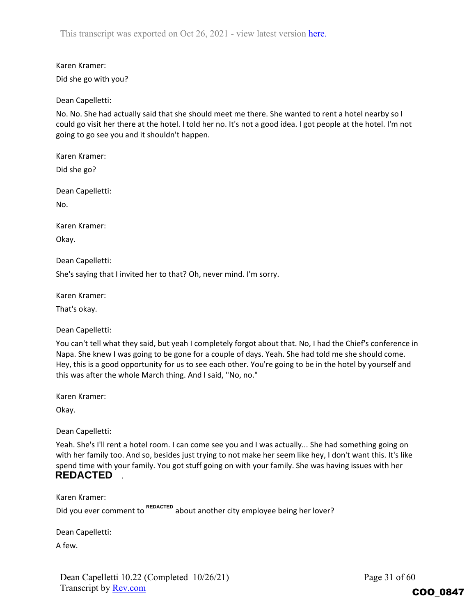Karen Kramer:

Did she go with you?

Dean Capelletti:

No. No. She had actually said that she should meet me there. She wanted to rent a hotel nearby so I could go visit her there at the hotel. I told her no. It's not a good idea. I got people at the hotel. I'm not going to go see you and it shouldn't happen.

Karen Kramer:

Did she go?

Dean Capelletti:

No.

Karen Kramer:

Okay.

Dean Capelletti:

She's saying that I invited her to that? Oh, never mind. I'm sorry.

Karen Kramer:

That's okay.

Dean Capelletti:

You can't tell what they said, but yeah I completely forgot about that. No, I had the Chief's conference in Napa. She knew I was going to be gone for a couple of days. Yeah. She had told me she should come. Hey, this is a good opportunity for us to see each other. You're going to be in the hotel by yourself and this was after the whole March thing. And I said, "No, no."

Karen Kramer:

Okay.

Dean Capelletti:

Yeah. She's I'll rent a hotel room. I can come see you and I was actually... She had something going on with her family too. And so, besides just trying to not make her seem like hey, I don't want this. It's like spend time with your family. You got stuff going on with your family. She was having issues with her . **REDACTED**

Karen Kramer:

Did you ever comment to REDACTED about another city employee being her lover?

Dean Capelletti:

A few.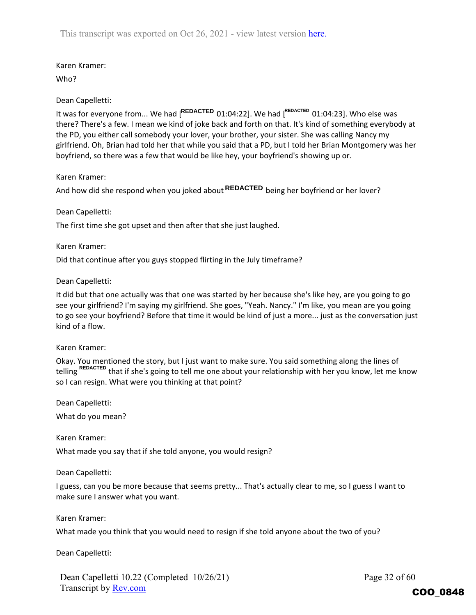## Karen Kramer:

Who?

## Dean Capelletti:

It was for everyone from... We had [<sup>REDACTED</sup> 01:04:22]. We had [<sup>REDACTED</sup> 01:04:23]. Who else was there? There's a few. I mean we kind of joke back and forth on that. It's kind of something everybody at the PD, you either call somebody your lover, your brother, your sister. She was calling Nancy my girlfriend. Oh, Brian had told her that while you said that a PD, but I told her Brian Montgomery was her boyfriend, so there was a few that would be like hey, your boyfriend's showing up or.

## Karen Kramer:

And how did she respond when you joked about **REDACTED** being her boyfriend or her lover?

## Dean Capelletti:

The first time she got upset and then after that she just laughed.

#### Karen Kramer:

Did that continue after you guys stopped flirting in the July timeframe?

## Dean Capelletti:

It did but that one actually was that one was started by her because she's like hey, are you going to go see your girlfriend? I'm saying my girlfriend. She goes, "Yeah. Nancy." I'm like, you mean are you going to go see your boyfriend? Before that time it would be kind of just a more... just as the conversation just kind of a flow.

#### Karen Kramer:

Okay. You mentioned the story, but I just want to make sure. You said something along the lines of telling <sup>REDACTED</sup> that if she's going to tell me one about your relationship with her you know, let me know so I can resign. What were you thinking at that point?

Dean Capelletti:

What do you mean?

Karen Kramer: What made you say that if she told anyone, you would resign?

#### Dean Capelletti:

I guess, can you be more because that seems pretty... That's actually clear to me, so I guess I want to make sure I answer what you want.

#### Karen Kramer:

What made you think that you would need to resign if she told anyone about the two of you?

Dean Capelletti:

Dean Capelletti 10.22 (Completed 10/26/21) Transcript by Rev.com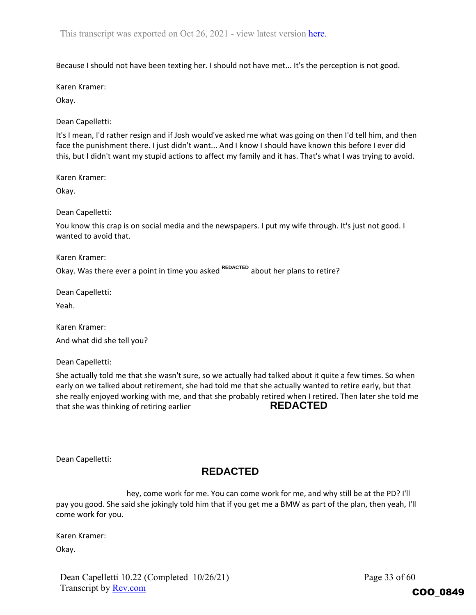Because I should not have been texting her. I should not have met... It's the perception is not good.

Karen Kramer:

Okay.

Dean Capelletti:

It's I mean, I'd rather resign and if Josh would've asked me what was going on then I'd tell him, and then face the punishment there. I just didn't want... And I know I should have known this before I ever did this, but I didn't want my stupid actions to affect my family and it has. That's what I was trying to avoid.

Karen Kramer:

Okay.

Dean Capelletti:

You know this crap is on social media and the newspapers. I put my wife through. It's just not good. I wanted to avoid that.

Karen Kramer: Okay. Was there ever a point in time you asked <sup>REDACTED</sup> about her plans to retire?

Dean Capelletti:

Yeah.

Karen Kramer:

And what did she tell you?

Dean Capelletti:

She actually told me that she wasn't sure, so we actually had talked about it quite a few times. So when early on we talked about retirement, she had told me that she actually wanted to retire early, but that she really enjoyed working with me, and that she probably retired when I retired. Then later she told me that she was thinking of retiring earlier **REDACTED**

Dean Capelletti:

# **REDACTED**

hey, come work for me. You can come work for me, and why still be at the PD? I'll pay you good. She said she jokingly told him that if you get me a BMW as part of the plan, then yeah, I'll come work for you.

Karen Kramer:

Okay.

Dean Capelletti 10.22 (Completed 10/26/21) Transcript by Rev.com

Page 33 of 60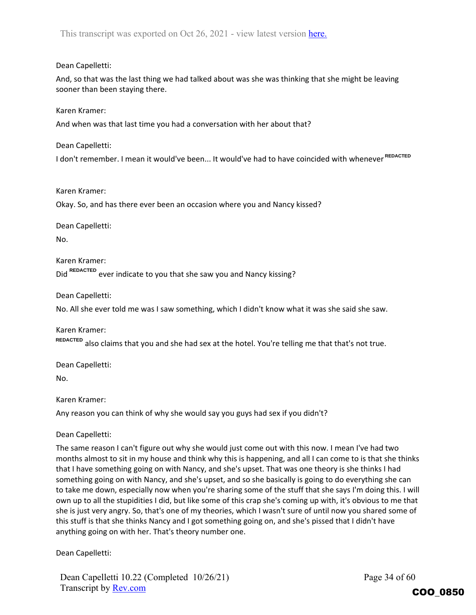## Dean Capelletti:

And, so that was the last thing we had talked about was she was thinking that she might be leaving sooner than been staying there.

Karen Kramer:

And when was that last time you had a conversation with her about that?

Dean Capelletti:

I don't remember. I mean it would've been... It would've had to have coincided with whenever **REDACTED**

Karen Kramer:

Okay. So, and has there ever been an occasion where you and Nancy kissed?

Dean Capelletti:

No.

Karen Kramer: Did <sup>REDACTED</sup> ever indicate to you that she saw you and Nancy kissing?

Dean Capelletti:

No. All she ever told me was I saw something, which I didn't know what it was she said she saw.

Karen Kramer: also claims that you and she had sex at the hotel. You're telling me that that's not true. **REDACTED**

Dean Capelletti:

No.

Karen Kramer:

Any reason you can think of why she would say you guys had sex if you didn't?

Dean Capelletti:

The same reason I can't figure out why she would just come out with this now. I mean I've had two months almost to sit in my house and think why this is happening, and all I can come to is that she thinks that I have something going on with Nancy, and she's upset. That was one theory is she thinks I had something going on with Nancy, and she's upset, and so she basically is going to do everything she can to take me down, especially now when you're sharing some of the stuff that she says I'm doing this. I will own up to all the stupidities I did, but like some of this crap she's coming up with, it's obvious to me that she is just very angry. So, that's one of my theories, which I wasn't sure of until now you shared some of this stuff is that she thinks Nancy and I got something going on, and she's pissed that I didn't have anything going on with her. That's theory number one.

Dean Capelletti:

Dean Capelletti 10.22 (Completed 10/26/21) Transcript by Rev.com

Page 34 of 60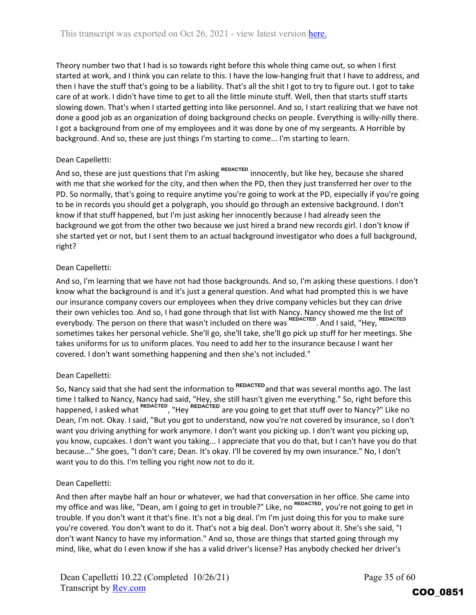Theory number two that I had is so towards right before this whole thing came out, so when I first started at work, and I think you can relate to this. I have the low‐hanging fruit that I have to address, and then I have the stuff that's going to be a liability. That's all the shit I got to try to figure out. I got to take care of at work. I didn't have time to get to all the little minute stuff. Well, then that starts stuff starts slowing down. That's when I started getting into like personnel. And so, I start realizing that we have not done a good job as an organization of doing background checks on people. Everything is willy-nilly there. I got a background from one of my employees and it was done by one of my sergeants. A Horrible by background. And so, these are just things I'm starting to come... I'm starting to learn.

## Dean Capelletti:

And so, these are just questions that I'm asking <sup>REDACTED</sup> innocently, but like hey, because she shared with me that she worked for the city, and then when the PD, then they just transferred her over to the PD. So normally, that's going to require anytime you're going to work at the PD, especially if you're going to be in records you should get a polygraph, you should go through an extensive background. I don't know if that stuff happened, but I'm just asking her innocently because I had already seen the background we got from the other two because we just hired a brand new records girl. I don't know if she started yet or not, but I sent them to an actual background investigator who does a full background, right?

## Dean Capelletti:

And so, I'm learning that we have not had those backgrounds. And so, I'm asking these questions. I don't know what the background is and it's just a general question. And what had prompted this is we have our insurance company covers our employees when they drive company vehicles but they can drive their own vehicles too. And so, I had gone through that list with Nancy. Nancy showed me the list of everybody. The person on there that wasn't included on there was <sup>REDACTED</sup>. And I said, "Hey, <sup>REDACTED</sup> sometimes takes her personal vehicle. She'll go, she'll take, she'll go pick up stuff for her meetings. She takes uniforms for us to uniform places. You need to add her to the insurance because I want her covered. I don't want something happening and then she's not included."

# Dean Capelletti:

So, Nancy said that she had sent the information to <sup>REDACTED</sup> and that was several months ago. The last time I talked to Nancy, Nancy had said, "Hey, she still hasn't given me everything." So, right before this happened, I asked what <sup>REDACTED</sup>, "Hey <sup>REDACTED</sup> are you going to get that stuff over to Nancy?" Like no<br>Dean, I'm not. Okay. I said, "But you got to understand, now you're not covered by insurance, so I don<br>want you dri Dean, I'm not. Okay. I said, "But you got to understand, now you're not covered by insurance, so I don't want you driving anything for work anymore. I don't want you picking up. I don't want you picking up, you know, cupcakes. I don't want you taking... I appreciate that you do that, but I can't have you do that because..." She goes, "I don't care, Dean. It's okay. I'll be covered by my own insurance." No, I don't want you to do this. I'm telling you right now not to do it.

# Dean Capelletti:

And then after maybe half an hour or whatever, we had that conversation in her office. She came into my office and was like, "Dean, am I going to get in trouble?" Like, no REDACTED, you're not going to get in trouble. If you don't want it that's fine. It's not a big deal. I'm I'm just doing this for you to make sure you're covered. You don't want to do it. That's not a big deal. Don't worry about it. She's she said, "I don't want Nancy to have my information." And so, those are things that started going through my mind, like, what do I even know if she has a valid driver's license? Has anybody checked her driver's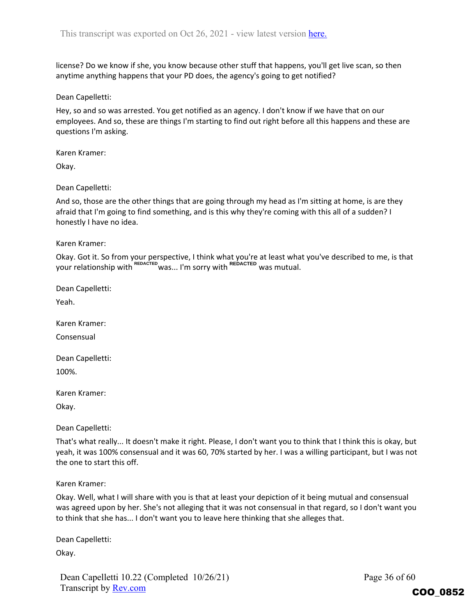license? Do we know if she, you know because other stuff that happens, you'll get live scan, so then anytime anything happens that your PD does, the agency's going to get notified?

Dean Capelletti:

Hey, so and so was arrested. You get notified as an agency. I don't know if we have that on our employees. And so, these are things I'm starting to find out right before all this happens and these are questions I'm asking.

Karen Kramer:

Okay.

Dean Capelletti:

And so, those are the other things that are going through my head as I'm sitting at home, is are they afraid that I'm going to find something, and is this why they're coming with this all of a sudden? I honestly I have no idea.

Karen Kramer:

Okay. Got it. So from your perspective, I think what you're at least what you've described to me, is that your relationship with REDACTED was... I'm sorry with REDACTED was mutual.

Dean Capelletti:

Yeah.

Karen Kramer:

Consensual

Dean Capelletti:

100%.

Karen Kramer:

Okay.

Dean Capelletti:

That's what really... It doesn't make it right. Please, I don't want you to think that I think this is okay, but yeah, it was 100% consensual and it was 60, 70% started by her. I was a willing participant, but I was not the one to start this off.

Karen Kramer:

Okay. Well, what I will share with you is that at least your depiction of it being mutual and consensual was agreed upon by her. She's not alleging that it was not consensual in that regard, so I don't want you to think that she has... I don't want you to leave here thinking that she alleges that.

Dean Capelletti:

Okay.

Dean Capelletti 10.22 (Completed 10/26/21) Transcript by Rev.com

Page 36 of 60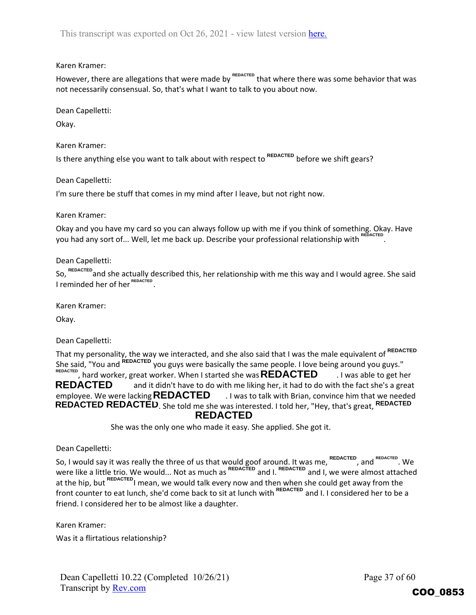## Karen Kramer:

However, there are allegations that were made by <sup>REDACTED</sup> that where there was some behavior that was not necessarily consensual. So, that's what I want to talk to you about now.

Dean Capelletti:

Okay.

Karen Kramer:

Is there anything else you want to talk about with respect to <sup>REDACTED</sup> before we shift gears?

Dean Capelletti:

I'm sure there be stuff that comes in my mind after I leave, but not right now.

Karen Kramer:

Okay and you have my card so you can always follow up with me if you think of something. Okay. Have you had any sort of... Well, let me back up. Describe your professional relationship with **REDACTED**

## Dean Capelletti:

So, <sup>REDACTED</sup> and she actually described this, her relationship with me this way and I would agree. She said I reminded her of her <sup>REDACTED</sup>.

Karen Kramer:

Okay.

Dean Capelletti:

That my personality, the way we interacted, and she also said that I was the male equivalent of **REDACTED** She said, "You and <sup>REDACTED</sup> you guys were basically the same people. I love being around you guys." , hard worker, great worker. When I started she was **REDACTED** and was able to get her and it didn't have to do with me liking her, it had to do with the fact she's a great employee. We were lacking **REDACTED** 1 was to talk with Brian, convince him that we needed **REDACTED REDACTED**. She told me she was interested. I told her, "Hey, that's great, REDACTED **REDACTED** REDACTED and it didn't have to do with me liking her, it had<br> **REDACTED** and it didn't have to do with me liking her, it had<br>
employee. We were lacking **REDACTED** 1 was to talk with Bria<br> **REDACTED REDACTED**. She told me s **REDACTED**

She was the only one who made it easy. She applied. She got it.

Dean Capelletti:

So, I would say it was really the three of us that would goof around. It was me,  $\overline{h}$  and  $\overline{h}$  and  $\overline{h}$ . We were like a little trio. We would... Not as much as  $\frac{1}{100}$  and I.  $\frac{1}{100}$  and I, we were almost attached at the hip, but <sup>REDACTED</sup>I mean, we would talk every now and then when she could get away from the front counter to eat lunch, she'd come back to sit at lunch with **REDACTED** and I. I considered her to be a friend. I considered her to be almost like a daughter. **REDACTED REDACTED REDACTED REDACTED**

Karen Kramer:

Was it a flirtatious relationship?

Page 37 of 60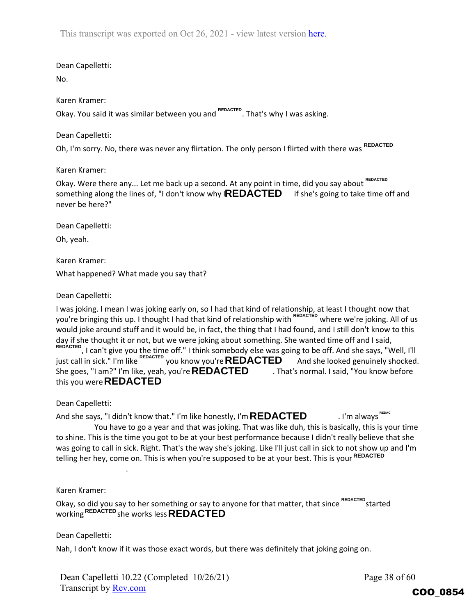Dean Capelletti:

No.

Karen Kramer:

Okay. You said it was similar between you and <sup>REDACTED</sup>. That's why I was asking.

Dean Capelletti:

Oh, I'm sorry. No, there was never any flirtation. The only person I flirted with there was **REDACTED**

Karen Kramer:

Okay. Were there any... Let me back up a second. At any point in time, did you say about REDACTED something along the lines of, "I don't know why I**REDACTED** if she's going to take time off and never be here?"

Dean Capelletti:

Oh, yeah.

Karen Kramer: What happened? What made you say that?

Dean Capelletti:

I was joking. I mean I was joking early on, so I had that kind of relationship, at least I thought now that you're bringing this up. I thought I had that kind of relationship with <sup>REDACTED</sup> where we're joking. All of us would joke around stuff and it would be, in fact, the thing that I had found, and I still don't know to this day if she thought it or not, but we were joking about something. She wanted time off and I said,

REDACTED, I can't give you the time off." I think somebody else was going to be off. And she says, "Well, I'll just call in sick." I'm like <sup>REDACTED</sup> you know you're  $\mathsf{REDACTED}$  And she looked genuinely shocked. She goes, "I am?" I'm like, yeah, you're **REDACTED** Fhat's normal. I said, "You know before this you were **REDACTED**

Dean Capelletti:

And she says, "I didn't know that." I'm like honestly, I'm **REDACTED** and it im always  $\text{REDACTED}$ You have to go a year and that was joking. That was like duh, this is basically, this is your time to shine. This is the time you got to be at your best performance because I didn't really believe that she was going to call in sick. Right. That's the way she's joking. Like I'll just call in sick to not show up and I'm telling her hey, come on. This is when you're supposed to be at your best. This is your **REDACTED REDACTED**, I can't give you the time off." I think somebody else was going to be off. And she just call in sick." I'm like  $^{REDACTED}$  you know you're **REDACTED** And she looked gen She goes, "I am?" I'm like, yeah, you're **R** nalways<sup>"\*</sup>

Karen Kramer:

Okay, so did you say to her something or say to anyone for that matter, that since REDACTED started working she works less **REDACTED REDACTED**

Dean Capelletti:

Nah, I don't know if it was those exact words, but there was definitely that joking going on.

Dean Capelletti 10.22 (Completed 10/26/21) Transcript by Rev.com

.

Page 38 of 60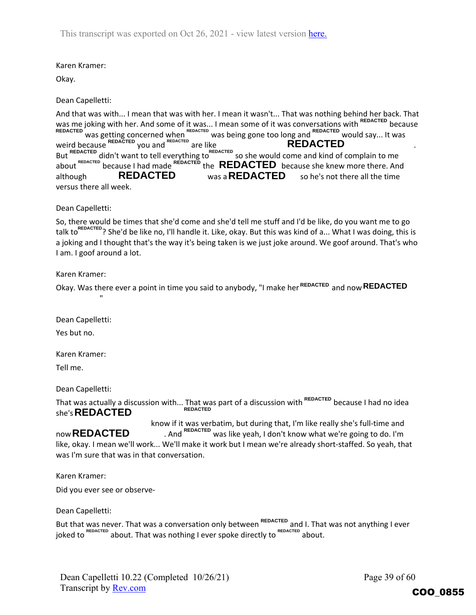## Karen Kramer:

Okay.

Dean Capelletti:

And that was with... I mean that was with her. I mean it wasn't... That was nothing behind her back. That was me joking with her. And some of it was... I mean some of it was conversations with <sup>REDACTED</sup> because REDACTED was getting concerned when REDACTED was being gone too long and REDACTED would say... It was weird because  $\mathbb{R}^{E}$  ou and  $\mathbb{R}^{E}$  are like  $\mathbb{R}^{E}$  **REDAC IED**  $\mathbb{R}^{E}$  . But <sup>REDACTED</sup> didn't want to tell everything to<sup>REDACTED</sup> so she would come and kind of complain to me about <sup>REDACTED</sup> because I had made REDACTED **REDACTED** because she knew more there. And although **REDACTED** was a **REDACTED** so he's not there all the time versus there all week. **REDACTED REDACTED REDACTED REDACTED REDACTED REDACTED REDACTED**

Dean Capelletti:

So, there would be times that she'd come and she'd tell me stuff and I'd be like, do you want me to go talk to<sup>redAcTED</sup>? She'd be like no, I'll handle it. Like, okay. But this was kind of a... What I was doing, this is a joking and I thought that's the way it's being taken is we just joke around. We goof around. That's who I am. I goof around a lot. **REDACTED** was a **REDACTED** so he's r<br>as there all week.<br>Capelletti:<br>nere would be times that she'd come and she'd tell me stuff and I'd be like<br>or<br>for the context of a string and I thought that's the way it's being taken

Karen Kramer:

Okay. Was there ever a point in time you said to anybody, "I make her <sup>REDACTED</sup> and now **REDACTED** 

Dean Capelletti:

"

Yes but no.

Karen Kramer:

Tell me.

Dean Capelletti:

That was actually a discussion with... That was part of a discussion with <sup>REDACTED</sup> because I had no idea she's **REDACTED REDACTED**

know if it was verbatim, but during that, I'm like really she's full-time and now **REDACTED** And <sup>REDACTED</sup> was like yeah, I don't know what we're going to do. I'm like, okay. I mean we'll work... We'll make it work but I mean we're already short‐staffed. So yeah, that was I'm sure that was in that conversation.

Karen Kramer:

Did you ever see or observe‐

Dean Capelletti:

But that was never. That was a conversation only between <sup>REDACTED</sup> and I. That was not anything I ever joked to <sup>REDACTED</sup> about. That was nothing I ever spoke directly to <sup>REDACTED</sup> about.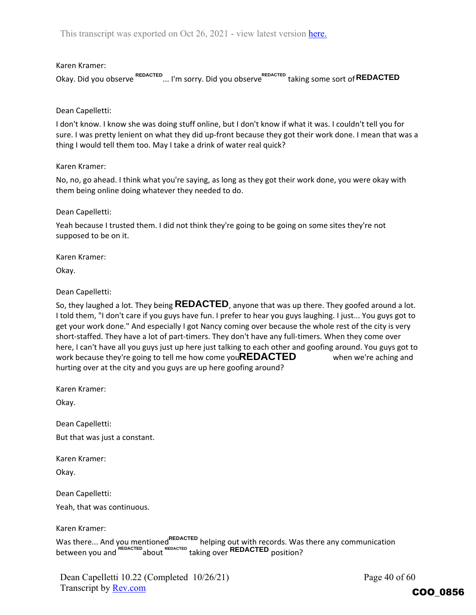Karen Kramer:

Okay. Did you observe ... I'm sorry. Did you observe taking some sort of **REDACTED REDACTED REDACTED**

Dean Capelletti:

I don't know. I know she was doing stuff online, but I don't know if what it was. I couldn't tell you for sure. I was pretty lenient on what they did up-front because they got their work done. I mean that was a thing I would tell them too. May I take a drink of water real quick?

Karen Kramer:

No, no, go ahead. I think what you're saying, as long as they got their work done, you were okay with them being online doing whatever they needed to do.

Dean Capelletti:

Yeah because I trusted them. I did not think they're going to be going on some sites they're not supposed to be on it.

Karen Kramer:

Okay.

Dean Capelletti:

So, they laughed a lot. They being **REDACTED**, anyone that was up there. They goofed around a lot. I told them, "I don't care if you guys have fun. I prefer to hear you guys laughing. I just... You guys got to get your work done." And especially I got Nancy coming over because the whole rest of the city is very short-staffed. They have a lot of part-timers. They don't have any full-timers. When they come over here, I can't have all you guys just up here just talking to each other and goofing around. You guys got to work because they're going to tell me how come you**REDACTED** when we're aching and hurting over at the city and you guys are up here goofing around?

Karen Kramer:

Okay.

Dean Capelletti:

But that was just a constant.

Karen Kramer:

Okay.

Dean Capelletti:

Yeah, that was continuous.

Karen Kramer:

Was there... And you mentioned<sup>REDACTED</sup> helping out with records. Was there any communication between you and REDACTED about REDACTED taking over **REDACTED** position?

Page 40 of 60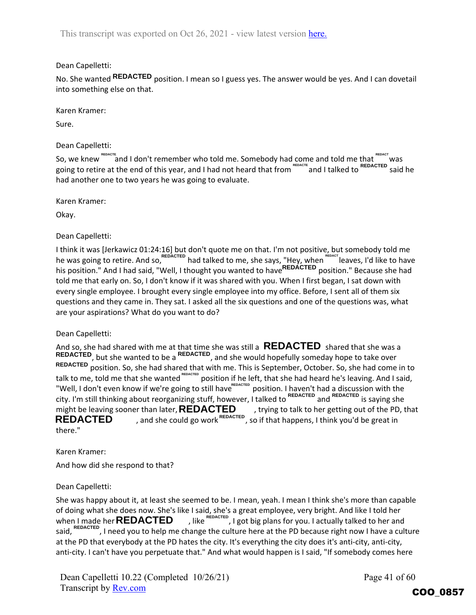## Dean Capelletti:

No. She wanted **REDACTED** position. I mean so I guess yes. The answer would be yes. And I can dovetail into something else on that.

Karen Kramer:

Sure.

## Dean Capelletti:

So, we knew  $\text{R}_\text{BMCT}$  and I don't remember who told me. Somebody had come and told me that  $\text{R}_\text{BMCT}$  was going to retire at the end of this year, and I had not heard that from "EDACTE and I talked to REDACTED said he had another one to two years he was going to evaluate.

Karen Kramer:

Okay.

Dean Capelletti:

I think it was [Jerkawicz 01:24:16] but don't quote me on that. I'm not positive, but somebody told me he was going to retire. And so, REDACTED had talked to me, she says, "Hey, when "E<sup>REDACT</sup> leaves, I'd like to have his position." And I had said, "Well, I thought you wanted to have<sup>REDACTED</sup> position." Because she had told me that early on. So, I don't know if it was shared with you. When I first began, I sat down with every single employee. I brought every single employee into my office. Before, I sent all of them six questions and they came in. They sat. I asked all the six questions and one of the questions was, what are your aspirations? What do you want to do?

Dean Capelletti:

And so, she had shared with me at that time she was still a  $\overline{\text{REDAC1ED}}$  shared that she was a , but she wanted to be a nelhoted, and she would hopefully someday hope to take over REDACTED position. So, she had shared that with me. This is September, October. So, she had come in to talk to me, told me that she wanted <sup>rebacted</sup> position if he left, that she had heard he's leaving. And I said, "Well, I don't even know if we're going to still have<sup>rEDACTED</sup> position. I haven't had a discussion with the city. I'm still thinking about reorganizing stuff, however, I talked to <sup>REDACTED</sup> and <sup>REDACTED</sup> is saying she might be leaving sooner than later, **REDACTED**, trying to talk to her getting out of the PD, that **REDACTED**, and she could go work<sup>REDACTED</sup>, so if that happens, I think you'd be great in , and she could go work  $REDACTED$ , so if that happens, I think you'd be great in there." **REDACTED REDACTED REDACTED**

Karen Kramer:

And how did she respond to that?

## Dean Capelletti:

She was happy about it, at least she seemed to be. I mean, yeah. I mean I think she's more than capable of doing what she does now. She's like I said, she's a great employee, very bright. And like I told her when I made her **REDACTED**  $\blacksquare$ , like  $\text{REDACTED}$ , I got big plans for you. I actually talked to her and said, <sup>REDACTED</sup>, I need you to help me change the culture here at the PD because right now I have a culture at the PD that everybody at the PD hates the city. It's everything the city does it's anti-city, anti-city, anti-city. I can't have you perpetuate that." And what would happen is I said, "If somebody comes here when I made her **REDACTED** 

Dean Capelletti 10.22 (Completed 10/26/21) Transcript by Rev.com

Page 41 of 60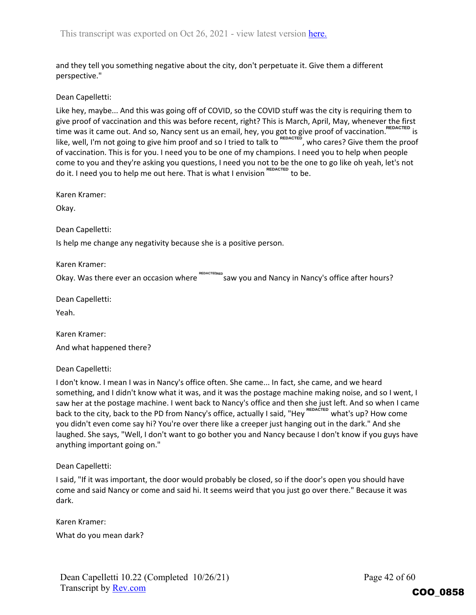and they tell you something negative about the city, don't perpetuate it. Give them a different perspective."

Dean Capelletti:

Like hey, maybe... And this was going off of COVID, so the COVID stuff was the city is requiring them to give proof of vaccination and this was before recent, right? This is March, April, May, whenever the first time was it came out. And so, Nancy sent us an email, hey, you got to give proof of vaccination. <sup>REDACTED</sup> is like, well, I'm not going to give him proof and so I tried to talk to <sup>REDACTED</sup>, who cares? Give them the proof of vaccination. This is for you. I need you to be one of my champions. I need you to help when people come to you and they're asking you questions, I need you not to be the one to go like oh yeah, let's not do it. I need you to help me out here. That is what I envision REDACTED to be.

Karen Kramer:

Okay.

Dean Capelletti:

Is help me change any negativity because she is a positive person.

Karen Kramer:

Okay. Was there ever an occasion where REDACTECRED Saw you and Nancy in Nancy's office after hours? **REDACTED**

Dean Capelletti:

Yeah.

Karen Kramer:

And what happened there?

Dean Capelletti:

I don't know. I mean I was in Nancy's office often. She came... In fact, she came, and we heard something, and I didn't know what it was, and it was the postage machine making noise, and so I went, I saw her at the postage machine. I went back to Nancy's office and then she just left. And so when I came back to the city, back to the PD from Nancy's office, actually I said, "Hey <sup>REDACTED</sup> what's up? How come you didn't even come say hi? You're over there like a creeper just hanging out in the dark." And she laughed. She says, "Well, I don't want to go bother you and Nancy because I don't know if you guys have anything important going on."

Dean Capelletti:

I said, "If it was important, the door would probably be closed, so if the door's open you should have come and said Nancy or come and said hi. It seems weird that you just go over there." Because it was dark.

Karen Kramer: What do you mean dark?

Dean Capelletti 10.22 (Completed 10/26/21) Transcript by Rev.com

Page 42 of 60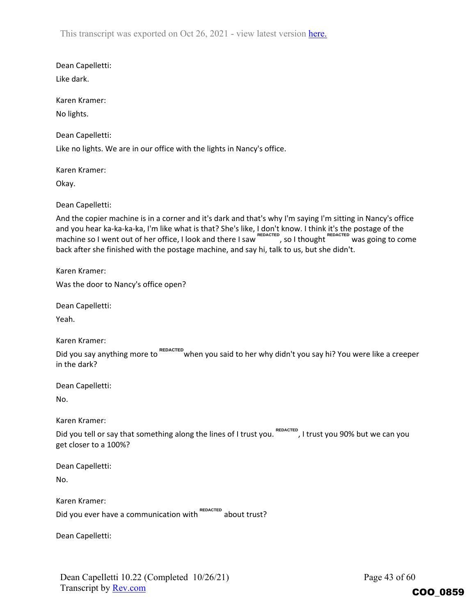Dean Capelletti:

Like dark.

Karen Kramer: No lights.

Dean Capelletti:

Like no lights. We are in our office with the lights in Nancy's office.

Karen Kramer:

Okay.

Dean Capelletti:

And the copier machine is in a corner and it's dark and that's why I'm saying I'm sitting in Nancy's office and you hear ka-ka-ka-ka, I'm like what is that? She's like, I don't know. I think it's the postage of the machine so I went out of her office, I look and there I saw REDACTED, SO I thought Was going to come back after she finished with the postage machine, and say hi, talk to us, but she didn't.

Karen Kramer:

Was the door to Nancy's office open?

Dean Capelletti:

Yeah.

Karen Kramer:

Did you say anything more to <sup>REDACTED</sup> when you said to her why didn't you say hi? You were like a creeper in the dark? REDACTED<br>
REDACTED<br>
REDACTED, so I thought<br>
REDACTED<br>
REDACTED<br>
REDACTED<br>
REDACTED<br>
REDACTED<br>
REDACTED<br>
REDACTED<br>
REDACTED<br>
REDACTED<br>
REDACTED<br>
REDACTED<br>
REDACTED<br>
REDACTED<br>
REDACTED<br>
REDACTED<br>
REDACTED<br>
REDACTED<br>
REDACTED

Dean Capelletti:

No.

Karen Kramer:

Did you tell or say that something along the lines of I trust you. REDACTED, I trust you 90% but we can you get closer to a 100%?

| Dean Capelletti: |  |
|------------------|--|
| No.              |  |

Karen Kramer:

Did you ever have a communication with REDACTED about trust?

Dean Capelletti:

Dean Capelletti 10.22 (Completed 10/26/21) Transcript by Rev.com

Page 43 of 60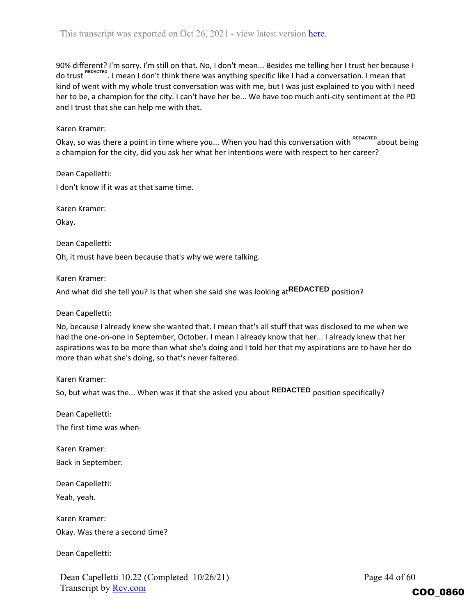90% different? I'm sorry. I'm still on that. No, I don't mean... Besides me telling her I trust her because I do trust <sup>REDACTED</sup>. I mean I don't think there was anything specific like I had a conversation. I mean that kind of went with my whole trust conversation was with me, but I was just explained to you with I need her to be, a champion for the city. I can't have her be... We have too much anti-city sentiment at the PD and I trust that she can help me with that.

## Karen Kramer:

Okay, so was there a point in time where you... When you had this conversation with <sup>REDACTED</sup> about being a champion for the city, did you ask her what her intentions were with respect to her career?

Dean Capelletti:

I don't know if it was at that same time.

Karen Kramer:

Okay.

Dean Capelletti:

Oh, it must have been because that's why we were talking.

Karen Kramer:

And what did she tell you? Is that when she said she was looking at<sup>REDACTED</sup> position?

Dean Capelletti:

No, because I already knew she wanted that. I mean that's all stuff that was disclosed to me when we had the one-on-one in September, October. I mean I already know that her... I already knew that her aspirations was to be more than what she's doing and I told her that my aspirations are to have her do more than what she's doing, so that's never faltered.

Karen Kramer:

So, but what was the... When was it that she asked you about **REDACTED** position specifically?

Dean Capelletti:

The first time was when‐

Karen Kramer:

Back in September.

Dean Capelletti:

Yeah, yeah.

Karen Kramer: Okay. Was there a second time?

Dean Capelletti:

Dean Capelletti 10.22 (Completed 10/26/21) Transcript by Rev.com

Page 44 of 60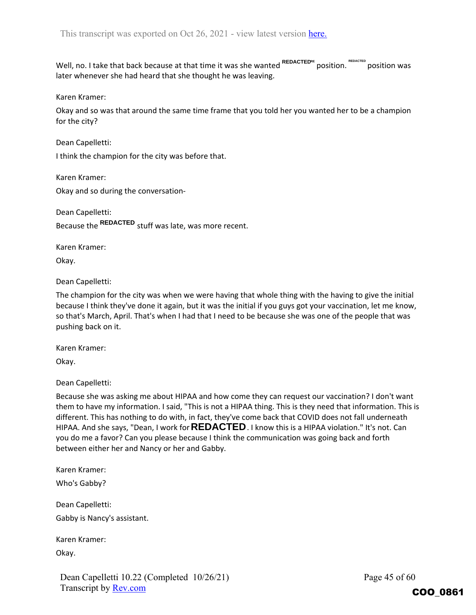$W$ ell, no. I take that back because at that time it was she wanted  $^{REDACTEDRE}$  position. <sup>REDACTED</sup> position was later whenever she had heard that she thought he was leaving.

Karen Kramer:

Okay and so was that around the same time frame that you told her you wanted her to be a champion for the city?

Dean Capelletti:

I think the champion for the city was before that.

Karen Kramer: Okay and so during the conversation‐

Dean Capelletti: Because the REDACTED stuff was late, was more recent.

Karen Kramer:

Okay.

Dean Capelletti:

The champion for the city was when we were having that whole thing with the having to give the initial because I think they've done it again, but it was the initial if you guys got your vaccination, let me know, so that's March, April. That's when I had that I need to be because she was one of the people that was pushing back on it.

Karen Kramer:

Okay.

Dean Capelletti:

Because she was asking me about HIPAA and how come they can request our vaccination? I don't want them to have my information. I said, "This is not a HIPAA thing. This is they need that information. This is different. This has nothing to do with, in fact, they've come back that COVID does not fall underneath HIPAA. And she says, "Dean, I work for **REDACTED** . I know this is a HIPAA violation." It's not. Can you do me a favor? Can you please because I think the communication was going back and forth between either her and Nancy or her and Gabby.

Karen Kramer:

Who's Gabby?

Dean Capelletti: Gabby is Nancy's assistant.

Karen Kramer:

Okay.

Page 45 of 60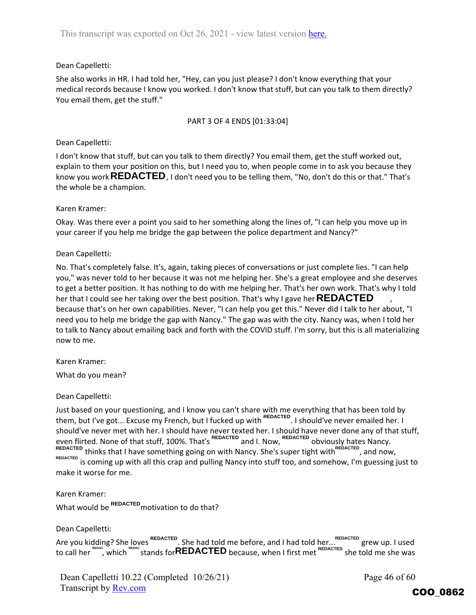## Dean Capelletti:

She also works in HR. I had told her, "Hey, can you just please? I don't know everything that your medical records because I know you worked. I don't know that stuff, but can you talk to them directly? You email them, get the stuff."

### PART 3 OF 4 ENDS [01:33:04]

### Dean Capelletti:

I don't know that stuff, but can you talk to them directly? You email them, get the stuff worked out, explain to them your position on this, but I need you to, when people come in to ask you because they know you work **REDACTED** , I don't need you to be telling them, "No, don't do this or that." That's the whole be a champion.

## Karen Kramer:

Okay. Was there ever a point you said to her something along the lines of, "I can help you move up in your career if you help me bridge the gap between the police department and Nancy?"

## Dean Capelletti:

No. That's completely false. It's, again, taking pieces of conversations or just complete lies. "I can help you," was never told to her because it was not me helping her. She's a great employee and she deserves to get a better position. It has nothing to do with me helping her. That's her own work. That's why I told her that I could see her taking over the best position. That's why I gave her **REDACTED**, because that's on her own capabilities. Never, "I can help you get this." Never did I talk to her about, "I need you to help me bridge the gap with Nancy." The gap was with the city. Nancy was, when I told her to talk to Nancy about emailing back and forth with the COVID stuff. I'm sorry, but this is all materializing now to me.

Karen Kramer:

What do you mean?

#### Dean Capelletti:

Just based on your questioning, and I know you can't share with me everything that has been told by them, but I've got... Excuse my French, but I fucked up with <sup>REDACTED</sup>. I should've never emailed her. I should've never met with her. I should have never texted her. I should have never done any of that stuff, even flirted. None of that stuff, 100%. That's <sup>REDACTED</sup> and I. Now, <sup>REDACTED</sup> obviously hates Nancy. REDACTED thinks that I have something going on with Nancy. She's super tight with REDACTED , and now, REDACTED is coming up with all this crap and pulling Nancy into stuff too, and somehow, I'm guessing just to make it worse for me.

Karen Kramer: What would be <sup>REDACTED</sup> motivation to do that?

Dean Capelletti:

Are you kidding? She loves <sup>REDACTED</sup>. She had told me before, and I had told her... REDACTED grew up. I used to call her , which stands for because, when I first met she told me she was **REDAC REDAC REDACTED REDACTED**

Dean Capelletti 10.22 (Completed 10/26/21) Transcript by Rev.com

Page 46 of 60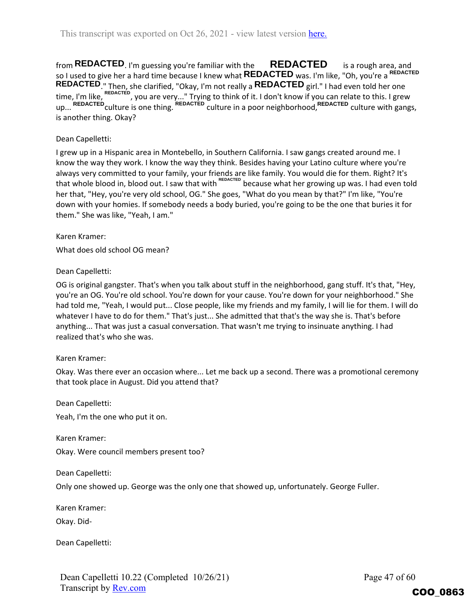from REDACTED<sub>. I'm guessing you're familiar with the  $\blacksquare$  REDACTED is a rough area, and</sub> so I used to give her a hard time because I knew what **REDACTED** was. I'm like, "Oh, you're a <sup>REDACTED</sup> ." Then, she clarified, "Okay, I'm not really a **REDAC I ED** girl." I had even told her one time, I'm like, <sup>REDACTED</sup>, you are very..." Trying to think of it. I don't know if you can relate to this. I grew up... REDACTED culture is one thing. REDACTED culture in a poor neighborhood, REDACTED culture with gangs, is another thing. Okay? **REDACTED r** Then, she clarified, "Okay, I'm not really a **REDACTED** 

## Dean Capelletti:

I grew up in a Hispanic area in Montebello, in Southern California. I saw gangs created around me. I know the way they work. I know the way they think. Besides having your Latino culture where you're always very committed to your family, your friends are like family. You would die for them. Right? It's that whole blood in, blood out. I saw that with <sup>REDACTED</sup> because what her growing up was. I had even told her that, "Hey, you're very old school, OG." She goes, "What do you mean by that?" I'm like, "You're down with your homies. If somebody needs a body buried, you're going to be the one that buries it for them." She was like, "Yeah, I am."

## Karen Kramer:

What does old school OG mean?

## Dean Capelletti:

OG is original gangster. That's when you talk about stuff in the neighborhood, gang stuff. It's that, "Hey, you're an OG. You're old school. You're down for your cause. You're down for your neighborhood." She had told me, "Yeah, I would put... Close people, like my friends and my family, I will lie for them. I will do whatever I have to do for them." That's just... She admitted that that's the way she is. That's before anything... That was just a casual conversation. That wasn't me trying to insinuate anything. I had realized that's who she was.

#### Karen Kramer:

Okay. Was there ever an occasion where... Let me back up a second. There was a promotional ceremony that took place in August. Did you attend that?

Dean Capelletti:

Yeah, I'm the one who put it on.

Karen Kramer: Okay. Were council members present too?

Dean Capelletti:

Only one showed up. George was the only one that showed up, unfortunately. George Fuller.

Karen Kramer:

Okay. Did‐

Dean Capelletti: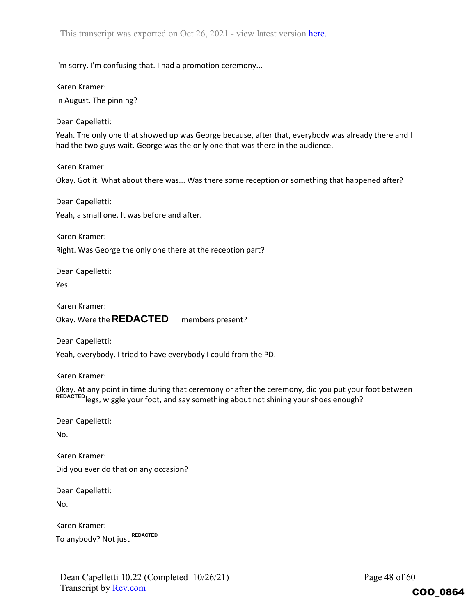I'm sorry. I'm confusing that. I had a promotion ceremony...

Karen Kramer:

In August. The pinning?

Dean Capelletti:

Yeah. The only one that showed up was George because, after that, everybody was already there and I had the two guys wait. George was the only one that was there in the audience.

Karen Kramer:

Okay. Got it. What about there was... Was there some reception or something that happened after?

Dean Capelletti:

Yeah, a small one. It was before and after.

Karen Kramer:

Right. Was George the only one there at the reception part?

Dean Capelletti:

Yes.

Karen Kramer:

Okay. Were the **REDACTED** members present?

Dean Capelletti:

Yeah, everybody. I tried to have everybody I could from the PD.

Karen Kramer:

Okay. At any point in time during that ceremony or after the ceremony, did you put your foot between REDACTED legs, wiggle your foot, and say something about not shining your shoes enough?

Dean Capelletti:

No.

Karen Kramer: Did you ever do that on any occasion? **REDACTED** legs, wiggle your foot<br>Dean Capelletti:<br>No.<br>Karen Kramer:<br>Did you ever do that on any o<br>Dean Capelletti:<br>No.<br>Karen Kramer:

Dean Capelletti:

No.

Karen Kramer: To anybody? Not just REDACTED

Dean Capelletti 10.22 (Completed 10/26/21) Transcript by **Rev.com** 

Page 48 of 60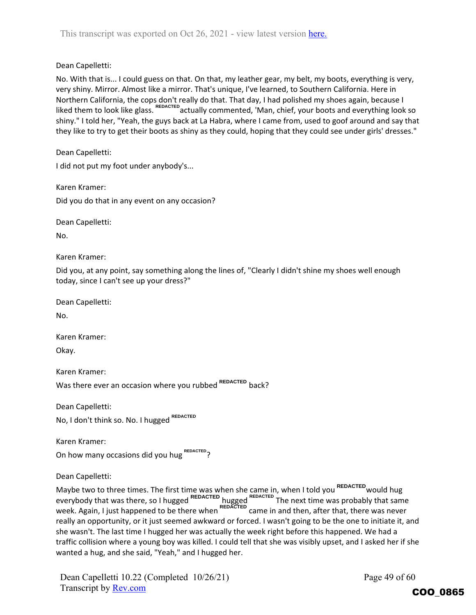Dean Capelletti:

No. With that is... I could guess on that. On that, my leather gear, my belt, my boots, everything is very, very shiny. Mirror. Almost like a mirror. That's unique, I've learned, to Southern California. Here in Northern California, the cops don't really do that. That day, I had polished my shoes again, because I liked them to look like glass. <sup>REDACTED</sup> actually commented, 'Man, chief, your boots and everything look so shiny." I told her, "Yeah, the guys back at La Habra, where I came from, used to goof around and say that they like to try to get their boots as shiny as they could, hoping that they could see under girls' dresses."

Dean Capelletti:

I did not put my foot under anybody's...

Karen Kramer:

Did you do that in any event on any occasion?

Dean Capelletti:

No.

Karen Kramer:

Did you, at any point, say something along the lines of, "Clearly I didn't shine my shoes well enough today, since I can't see up your dress?"

Dean Capelletti:

No.

Karen Kramer:

Okay.

Karen Kramer:

Was there ever an occasion where you rubbed <sup>REDACTED</sup> back?

Dean Capelletti:

No, I don't think so. No. I hugged **REDACTED**

Karen Kramer: **On how many occasions did you hug REDACTED?** 

Dean Capelletti:

Maybe two to three times. The first time was when she came in, when I told you <sup>REDACTED</sup> would hug everybody that was there, so I hugged <sup>REDACTED</sup> hugged <sup>REDACTED</sup> The next time was probably that same week. Again, I just happened to be there when <sup>REDACTED</sup> came in and then, after that, there was never really an opportunity, or it just seemed awkward or forced. I wasn't going to be the one to initiate it, and she wasn't. The last time I hugged her was actually the week right before this happened. We had a traffic collision where a young boy was killed. I could tell that she was visibly upset, and I asked her if she wanted a hug, and she said, "Yeah," and I hugged her.

Dean Capelletti 10.22 (Completed 10/26/21) Transcript by Rev.com

Page 49 of 60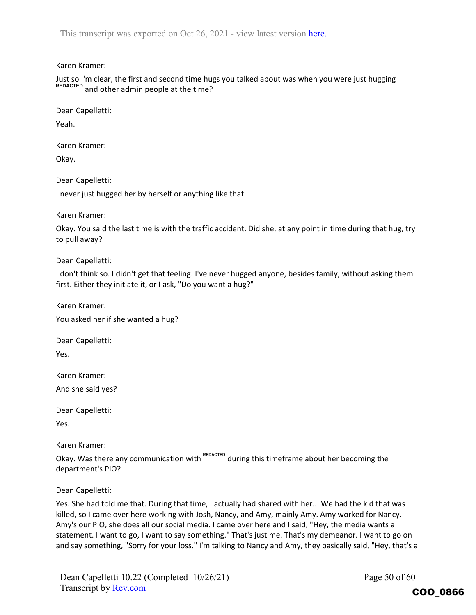#### Karen Kramer:

Just so I'm clear, the first and second time hugs you talked about was when you were just hugging REDACTED and other admin people at the time?

Dean Capelletti:

Yeah.

Karen Kramer:

Okay.

Dean Capelletti:

I never just hugged her by herself or anything like that.

Karen Kramer:

Okay. You said the last time is with the traffic accident. Did she, at any point in time during that hug, try to pull away?

Dean Capelletti:

I don't think so. I didn't get that feeling. I've never hugged anyone, besides family, without asking them first. Either they initiate it, or I ask, "Do you want a hug?"

Karen Kramer:

You asked her if she wanted a hug?

Dean Capelletti:

Yes.

Karen Kramer:

And she said yes?

Dean Capelletti:

Yes.

Karen Kramer:

Okay. Was there any communication with <sup>REDACTED</sup> during this timeframe about her becoming the department's PIO?

Dean Capelletti:

Yes. She had told me that. During that time, I actually had shared with her... We had the kid that was killed, so I came over here working with Josh, Nancy, and Amy, mainly Amy. Amy worked for Nancy. Amy's our PIO, she does all our social media. I came over here and I said, "Hey, the media wants a statement. I want to go, I want to say something." That's just me. That's my demeanor. I want to go on and say something, "Sorry for your loss." I'm talking to Nancy and Amy, they basically said, "Hey, that's a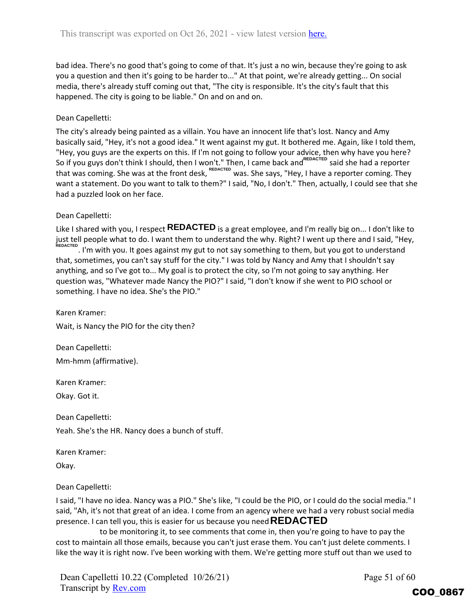bad idea. There's no good that's going to come of that. It's just a no win, because they're going to ask you a question and then it's going to be harder to..." At that point, we're already getting... On social media, there's already stuff coming out that, "The city is responsible. It's the city's fault that this happened. The city is going to be liable." On and on and on.

## Dean Capelletti:

The city's already being painted as a villain. You have an innocent life that's lost. Nancy and Amy basically said, "Hey, it's not a good idea." It went against my gut. It bothered me. Again, like I told them, "Hey, you guys are the experts on this. If I'm not going to follow your advice, then why have you here? So if you guys don't think I should, then I won't." Then, I came back and SEDACTED said she had a reporter that was coming. She was at the front desk, was. She says, "Hey, I have a reporter coming. They want a statement. Do you want to talk to them?" I said, "No, I don't." Then, actually, I could see that she had a puzzled look on her face. So if you guys don't think I should, then I won't." Then, I came back and REDACTED<br>that was coming. She was at the front desk, REDACTED<br>was. She says, "Hey, I have<br>want a statement. Do you want to talk to them?" I said, "N

## Dean Capelletti:

Like I shared with you, I respect **REDACTED** is a great employee, and I'm really big on... I don't like to just tell people what to do. I want them to understand the why. Right? I went up there and I said, "Hey, . I'm with you. It goes against my gut to not say something to them, but you got to understand that, sometimes, you can't say stuff for the city." I was told by Nancy and Amy that I shouldn't say anything, and so I've got to... My goal is to protect the city, so I'm not going to say anything. Her question was, "Whatever made Nancy the PIO?" I said, "I don't know if she went to PIO school or something. I have no idea. She's the PIO."

Karen Kramer: Wait, is Nancy the PIO for the city then?

Dean Capelletti: Mm‐hmm (affirmative).

Karen Kramer:

Okay. Got it.

Dean Capelletti:

Yeah. She's the HR. Nancy does a bunch of stuff.

Karen Kramer:

Okay.

Dean Capelletti:

I said, "I have no idea. Nancy was a PIO." She's like, "I could be the PIO, or I could do the social media." I said, "Ah, it's not that great of an idea. I come from an agency where we had a very robust social media presence. I can tell you, this is easier for us because you need **REDACTED**

to be monitoring it, to see comments that come in, then you're going to have to pay the cost to maintain all those emails, because you can't just erase them. You can't just delete comments. I like the way it is right now. I've been working with them. We're getting more stuff out than we used to

Dean Capelletti 10.22 (Completed 10/26/21) Transcript by Rev.com

Page 51 of 60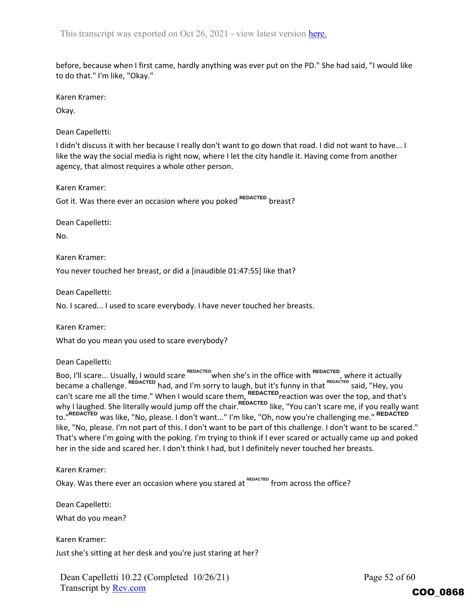before, because when I first came, hardly anything was ever put on the PD." She had said, "I would like to do that." I'm like, "Okay."

Karen Kramer:

Okay.

Dean Capelletti:

I didn't discuss it with her because I really don't want to go down that road. I did not want to have... I like the way the social media is right now, where I let the city handle it. Having come from another agency, that almost requires a whole other person.

Karen Kramer:

Got it. Was there ever an occasion where you poked <sup>REDACTED</sup> breast?

Dean Capelletti:

No.

Karen Kramer:

You never touched her breast, or did a [inaudible 01:47:55] like that?

Dean Capelletti:

No. I scared... I used to scare everybody. I have never touched her breasts.

Karen Kramer:

What do you mean you used to scare everybody?

Dean Capelletti:

Boo, I'll scare... Usually, I would scare REDACTED when she's in the office with REDACTED, where it actually became a challenge. <sup>REDACTED</sup> had, and I'm sorry to laugh, but it's funny in that <sup>REDACTED</sup> said, "Hey, you can't scare me all the time." When I would scare them, <sup>REDACTED</sup> reaction was over the top, and that's why I laughed. She literally would jump off the chair.<sup>REDACTED</sup> like, "You can't scare me, if you really want to."<sup>REDACTED</sup> was like, "No, please. I don't want..." I'm like, "Oh, now you're challenging me." <sup>REDACTED</sup> like, "No, please. I'm not part of this. I don't want to be part of this challenge. I don't want to be scared." That's where I'm going with the poking. I'm trying to think if I ever scared or actually came up and poked her in the side and scared her. I don't think I had, but I definitely never touched her breasts. **REDACTED**<br>**REDACTED** reaction was over the<br>**REDACTED** like, "You can't scare m<br>ke, "Oh, now you're challengin<br>part of this challenge. I don't<br>ink if I ever scared or actually<br>definitely never touched her t

Karen Kramer:

Okay. Was there ever an occasion where you stared at REDACTED from across the office?

Dean Capelletti: What do you mean?

Karen Kramer: Just she's sitting at her desk and you're just staring at her?

Dean Capelletti 10.22 (Completed 10/26/21) Transcript by Rev.com

Page 52 of 60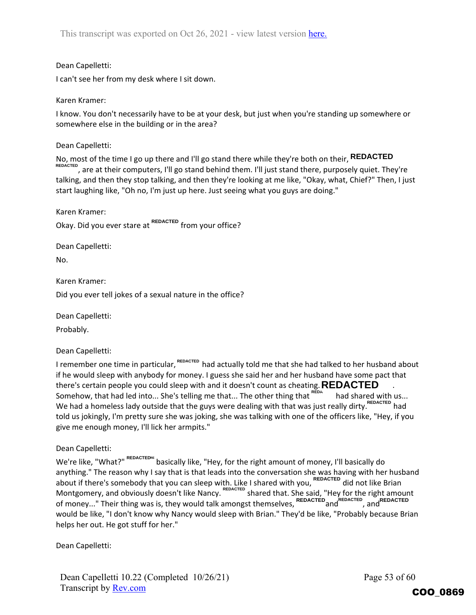## Dean Capelletti:

I can't see her from my desk where I sit down.

#### Karen Kramer:

I know. You don't necessarily have to be at your desk, but just when you're standing up somewhere or somewhere else in the building or in the area?

Dean Capelletti:

No, most of the time I go up there and I'll go stand there while they're both on their, **REDACTED** , are at their computers, I'll go stand behind them. I'll just stand there, purposely quiet. They're **REDACTED** talking, and then they stop talking, and then they're looking at me like, "Okay, what, Chief?" Then, I just start laughing like, "Oh no, I'm just up here. Just seeing what you guys are doing."

Karen Kramer:

Okay. Did you ever stare at <sup>REDACTED</sup> from your office?

Dean Capelletti:

No.

Karen Kramer:

Did you ever tell jokes of a sexual nature in the office?

Dean Capelletti:

Probably.

Dean Capelletti:

I remember one time in particular, <sup>REDACTED</sup> had actually told me that she had talked to her husband about if he would sleep with anybody for money. I guess she said her and her husband have some pact that there's certain people you could sleep with and it doesn't count as cheating. **REDACTED** and Somehow, that had led into... She's telling me that... The other thing that <sup>REDA</sup> had shared with us... We had a homeless lady outside that the guys were dealing with that was just really dirty. <sup>REDACTED</sup> had told us jokingly, I'm pretty sure she was joking, she was talking with one of the officers like, "Hey, if you give me enough money, I'll lick her armpits."

Dean Capelletti:

 $\mathsf{W}\mathsf{e}'$ re like, "What?"  $\mathsf{R}\mathsf{E}\mathsf{D}\mathsf{A}\mathsf{C}\mathsf{T}\mathsf{E}\mathsf{D}\mathsf{R}\mathsf{E}$  basically do basically do  $\mathsf{A}\mathsf{P}\mathsf{E}\mathsf{D}\mathsf{P}$ anything." The reason why I say that is that leads into the conversation she was having with her husband about if there's somebody that you can sleep with. Like I shared with you, <sup>REDACTED</sup> did not like Brian Montgomery, and obviously doesn't like Nancy. 
"Letticle Shared that. She said, "Hey for the right amount of money..." Their thing was is, they would talk amongst themselves,  $\overline{ }$ <sup>kebacteb</sup>and<sup>"ceacte</sup>", and would be like, "I don't know why Nancy would sleep with Brian." They'd be like, "Probably because Brian helps her out. He got stuff for her." **REDACTED REDACTED REDACTED REDACTED**

Dean Capelletti:

Page 53 of 60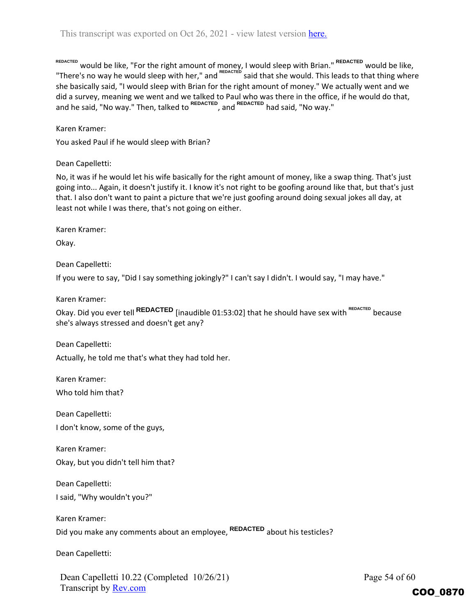REDACTED would be like, "For the right amount of money, I would sleep with Brian." <sup>REDACTED</sup> would be like, "There's no way he would sleep with her," and <sup>REDACTED</sup> said that she would. This leads to that thing where she basically said, "I would sleep with Brian for the right amount of money." We actually went and we did a survey, meaning we went and we talked to Paul who was there in the office, if he would do that, and he said, "No way." Then, talked to <sup>REDACTED</sup>, and <sup>REDACTED</sup> had said, "No way."

Karen Kramer:

You asked Paul if he would sleep with Brian?

Dean Capelletti:

No, it was if he would let his wife basically for the right amount of money, like a swap thing. That's just going into... Again, it doesn't justify it. I know it's not right to be goofing around like that, but that's just that. I also don't want to paint a picture that we're just goofing around doing sexual jokes all day, at least not while I was there, that's not going on either.

Karen Kramer:

Okay.

Dean Capelletti:

If you were to say, "Did I say something jokingly?" I can't say I didn't. I would say, "I may have."

Karen Kramer:

Okay. Did you ever tell REDACTED [inaudible 01:53:02] that he should have sex with  $\frac{REDACTED}{EDCG}$  because she's always stressed and doesn't get any?

Dean Capelletti:

Actually, he told me that's what they had told her.

Karen Kramer:

Who told him that?

Dean Capelletti: I don't know, some of the guys,

Karen Kramer:

Okay, but you didn't tell him that?

Dean Capelletti:

I said, "Why wouldn't you?"

Karen Kramer: Did you make any comments about an employee, <sup>REDACTED</sup> about his testicles?

Dean Capelletti:

Dean Capelletti 10.22 (Completed 10/26/21) Transcript by Rev.com

Page 54 of 60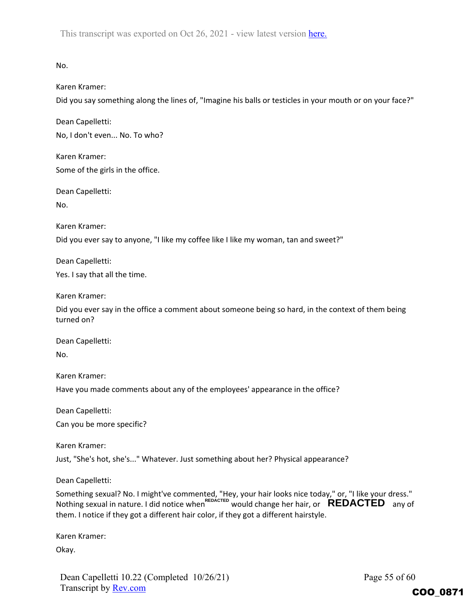No.

Karen Kramer:

Did you say something along the lines of, "Imagine his balls or testicles in your mouth or on your face?"

Dean Capelletti:

No, I don't even... No. To who?

Karen Kramer: Some of the girls in the office.

Dean Capelletti:

No.

Karen Kramer:

Did you ever say to anyone, "I like my coffee like I like my woman, tan and sweet?"

Dean Capelletti: Yes. I say that all the time.

Karen Kramer:

Did you ever say in the office a comment about someone being so hard, in the context of them being turned on?

Dean Capelletti:

No.

Karen Kramer:

Have you made comments about any of the employees' appearance in the office?

Dean Capelletti:

Can you be more specific?

Karen Kramer:

Just, "She's hot, she's..." Whatever. Just something about her? Physical appearance?

Dean Capelletti:

Something sexual? No. I might've commented, "Hey, your hair looks nice today," or, "I like your dress." Nothing sexual in nature. I did notice when<sup>REDACTED</sup> would change her hair, or  $\overline{REDACTED}$  any of them. I notice if they got a different hair color, if they got a different hairstyle.

Karen Kramer:

Okay.

Dean Capelletti 10.22 (Completed 10/26/21) Transcript by **Rev.com** 

Page 55 of 60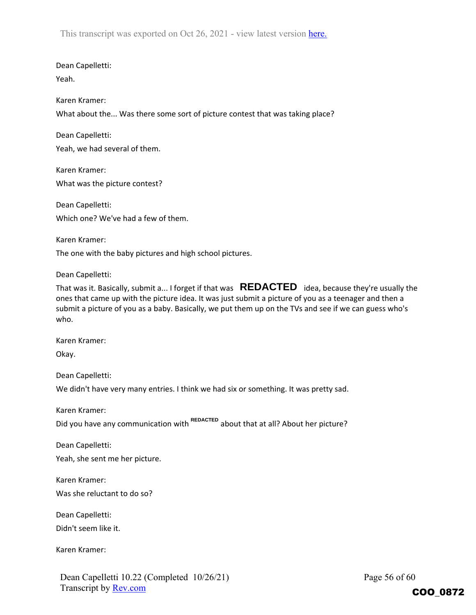Dean Capelletti: Yeah.

Karen Kramer:

What about the... Was there some sort of picture contest that was taking place?

Dean Capelletti: Yeah, we had several of them.

Karen Kramer: What was the picture contest?

Dean Capelletti: Which one? We've had a few of them.

Karen Kramer: The one with the baby pictures and high school pictures.

Dean Capelletti:

That was it. Basically, submit a... I forget if that was  $\overline{\text{REDACTED}}\;$  idea, because they're usually the ones that came up with the picture idea. It was just submit a picture of you as a teenager and then a submit a picture of you as a baby. Basically, we put them up on the TVs and see if we can guess who's who.

Karen Kramer:

Okay.

Dean Capelletti:

We didn't have very many entries. I think we had six or something. It was pretty sad.

Karen Kramer:

Did you have any communication with <sup>REDACTED</sup> about that at all? About her picture?

Dean Capelletti:

Yeah, she sent me her picture.

Karen Kramer:

Was she reluctant to do so?

Dean Capelletti:

Didn't seem like it.

Karen Kramer:

Dean Capelletti 10.22 (Completed 10/26/21) Transcript by Rev.com

Page 56 of 60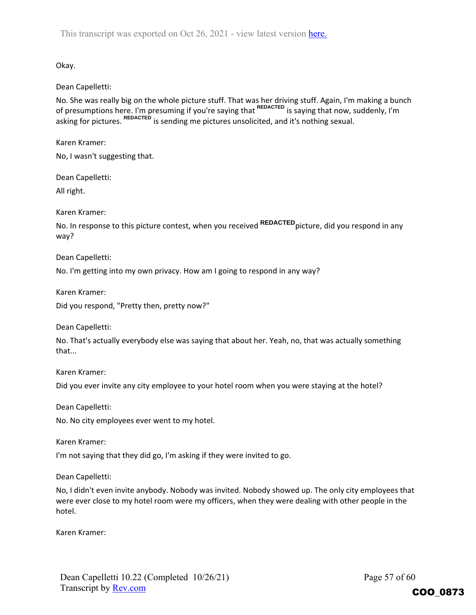Okay.

## Dean Capelletti:

No. She was really big on the whole picture stuff. That was her driving stuff. Again, I'm making a bunch of presumptions here. I'm presuming if you're saying that <sup>REDACTED</sup> is saying that now, suddenly, I'm asking for pictures. <sup>REDACTED</sup> is sending me pictures unsolicited, and it's nothing sexual.<br>
Karen Kramer:<br>
No, I wasn't suggesting that.<br>
Dean Capelletti:<br>
All right.<br>
Karen Kramer:<br>
No Ja response to this picture contes

Karen Kramer:

No, I wasn't suggesting that.

Dean Capelletti:

All right.

Karen Kramer:

No. In response to this picture contest, when you received REDACTED picture, did you respond in any way?

Dean Capelletti:

No. I'm getting into my own privacy. How am I going to respond in any way?

Karen Kramer:

Did you respond, "Pretty then, pretty now?"

Dean Capelletti:

No. That's actually everybody else was saying that about her. Yeah, no, that was actually something that...

Karen Kramer:

Did you ever invite any city employee to your hotel room when you were staying at the hotel?

Dean Capelletti:

No. No city employees ever went to my hotel.

Karen Kramer:

I'm not saying that they did go, I'm asking if they were invited to go.

Dean Capelletti:

No, I didn't even invite anybody. Nobody was invited. Nobody showed up. The only city employees that were ever close to my hotel room were my officers, when they were dealing with other people in the hotel.

Karen Kramer: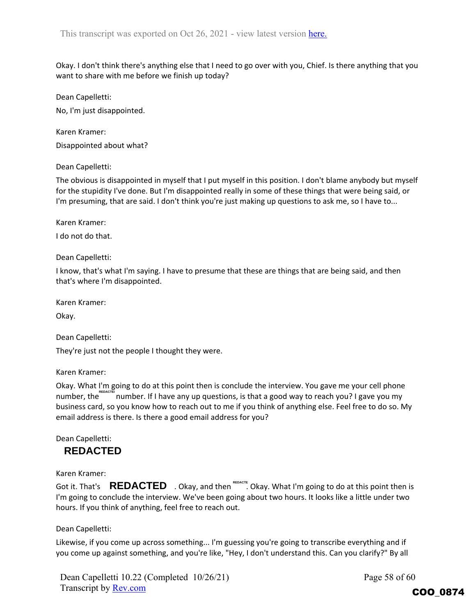Okay. I don't think there's anything else that I need to go over with you, Chief. Is there anything that you want to share with me before we finish up today?

Dean Capelletti:

No, I'm just disappointed.

Karen Kramer: Disappointed about what?

## Dean Capelletti:

The obvious is disappointed in myself that I put myself in this position. I don't blame anybody but myself for the stupidity I've done. But I'm disappointed really in some of these things that were being said, or I'm presuming, that are said. I don't think you're just making up questions to ask me, so I have to...

Karen Kramer:

I do not do that.

Dean Capelletti:

I know, that's what I'm saying. I have to presume that these are things that are being said, and then that's where I'm disappointed.

Karen Kramer:

Okay.

Dean Capelletti:

They're just not the people I thought they were.

Karen Kramer:

Okay. What I'm going to do at this point then is conclude the interview. You gave me your cell phone number, the starth number. If I have any up questions, is that a good way to reach you? I gave you my business card, so you know how to reach out to me if you think of anything else. Feel free to do so. My email address is there. Is there a good email address for you?

Dean Capelletti:

Karen Kramer:

**REDACTED**<br>
Karen Kramer:<br>Got it. That's **REDACTED** . Okay, and then  $\text{RENACTE}$  . Okay. What I'm going to do at this point then is I'm going to conclude the interview. We've been going about two hours. It looks like a little under two hours. If you think of anything, feel free to reach out.

## Dean Capelletti:

Likewise, if you come up across something... I'm guessing you're going to transcribe everything and if you come up against something, and you're like, "Hey, I don't understand this. Can you clarify?" By all

Dean Capelletti 10.22 (Completed 10/26/21) Transcript by Rev.com

Page 58 of 60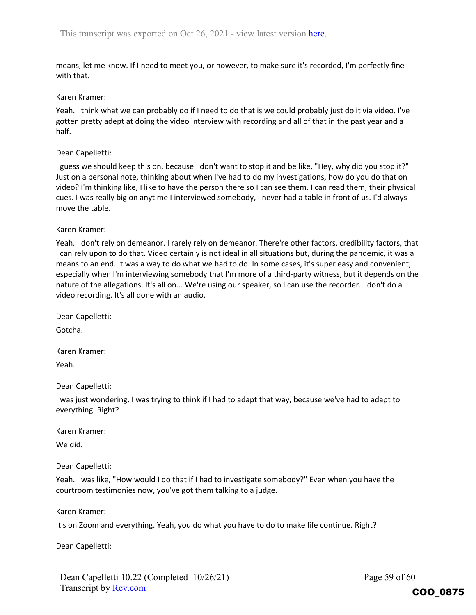means, let me know. If I need to meet you, or however, to make sure it's recorded, I'm perfectly fine with that.

#### Karen Kramer:

Yeah. I think what we can probably do if I need to do that is we could probably just do it via video. I've gotten pretty adept at doing the video interview with recording and all of that in the past year and a half.

#### Dean Capelletti:

I guess we should keep this on, because I don't want to stop it and be like, "Hey, why did you stop it?" Just on a personal note, thinking about when I've had to do my investigations, how do you do that on video? I'm thinking like, I like to have the person there so I can see them. I can read them, their physical cues. I was really big on anytime I interviewed somebody, I never had a table in front of us. I'd always move the table.

#### Karen Kramer:

Yeah. I don't rely on demeanor. I rarely rely on demeanor. There're other factors, credibility factors, that I can rely upon to do that. Video certainly is not ideal in all situations but, during the pandemic, it was a means to an end. It was a way to do what we had to do. In some cases, it's super easy and convenient, especially when I'm interviewing somebody that I'm more of a third-party witness, but it depends on the nature of the allegations. It's all on... We're using our speaker, so I can use the recorder. I don't do a video recording. It's all done with an audio.

Dean Capelletti:

Gotcha.

Karen Kramer:

Yeah.

Dean Capelletti:

I was just wondering. I was trying to think if I had to adapt that way, because we've had to adapt to everything. Right?

Karen Kramer:

We did.

Dean Capelletti:

Yeah. I was like, "How would I do that if I had to investigate somebody?" Even when you have the courtroom testimonies now, you've got them talking to a judge.

Karen Kramer:

It's on Zoom and everything. Yeah, you do what you have to do to make life continue. Right?

Dean Capelletti: